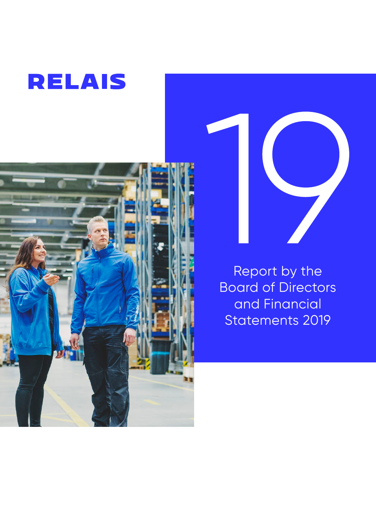





Report by the Board of Directors and Financial Statements 2019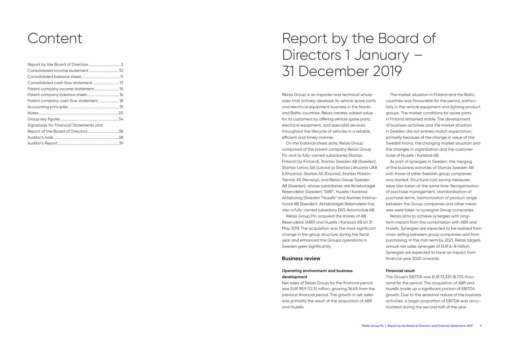| Signatures for Financial Statements and |  |
|-----------------------------------------|--|
|                                         |  |
|                                         |  |
|                                         |  |

# Content Report by the Board of Directors 1 January – 31 December 2019

Relais Group is an importer and technical wholesaler that actively develops its vehicle spare parts and electrical equipment business in the Nordic and Baltic countries. Relais creates added value for its customers by offering vehicle spare parts, electrical equipment, and specialist services throughout the lifecycle of vehicles in a reliable, efficient and timely manner.

On the balance sheet date, Relais Group comprised of the parent company Relais Group Plc and its fully-owned subsidiaries Startax Finland Oy (Finland), Startax Sweden AB (Sweden), Startax Latvia SIA (Latvia) ja Startax Lithuania UAB (Lithuania), Startax AS (Estonia), Startax Maskin-Teknisk AS (Norway), and Relais Group Sweden AB (Sweden), whose subsidiaries are Aktiebolaget Reservdelar (Sweden) "ABR", Huzells I Karlstad Aktiebolag (Sweden "Huzells" and Awimex International AB (Sweden). Aktiebolaget Reservdelar has also a fully-owned subsidiary EKG Automotive AB.

Relais Group Plc acquired the shares of AB Reservdelar (ABR) and Huzells i Karlstad AB on 31 May 2019. The acquisition was the most significant change in the group structure during the fiscal year and enhanced the Groups operations in Sweden grew significantly.

#### **Business review**

#### **Operating environment and business development**

Net sales of Relais Group for the financial period was EUR 98.9 (72.5) million, growing 36.6% from the previous financial period. The growth in net sales was primarily the result of the acquisition of ABR and Huzells.

The market situation in Finland and the Baltic countries was favourable for the period, particularly in the vehicle equipment and lighting product groups. The market conditions for spare parts in Finland remained stable. The development of business activities and the market situation in Sweden did not entirely match expectation, primarily because of the change in value of the Swedish krona, the changing market situation and the changes in organization and the customer base of Huzells i Karlstad AB.

As part of synergies in Sweden, the merging of the business activities of Startax Sweden AB with those of other Swedish group companies was started. Structural cost saving measures were also taken at the same time. Reorganisation of purchase management, standardisation of purchase terms, harmonization of product range between the Group companies and other measures were taken to synergise Group companies.

Relais aims to achieve synergies with longterm impact from the combination with ABR and Huzells. Synergies are expected to be realised from cross-selling between group companies and from purchasing. In the mid-term by 2021, Relais targets annual net sales synergies of EUR 6–8 million. Synergies are expected to have an impact from financial year 2020 onwards.

#### **Financial result**

The Group's EBITDA was EUR 13,335 (8,731) thousand for the period. The acquisition of ABR and Huzells made up a significant portion of EBITDA growth. Due to the seasonal nature of the business activities, a larger proportion of EBITDA was accumulated during the second half of the year.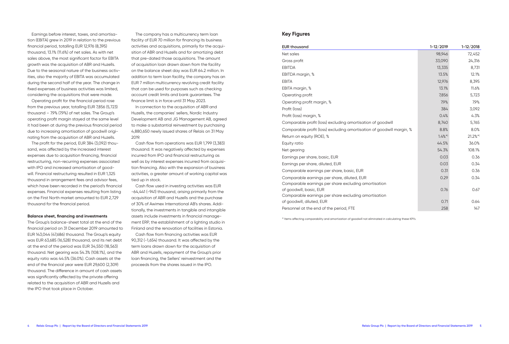Earnings before interest, taxes, and amortisation (EBITA) grew in 2019 in relation to the previous financial period, totalling EUR 12,976 (8,395) thousand, 13.1% (11.6%) of net sales. As with net sales above, the most significant factor for EBITA growth was the acquisition of ABR and Huzells. Due to the seasonal nature of the business activities, also the majority of EBITA was accumulated during the second half of the year. The change in fixed expenses of business activities was limited, considering the acquisitions that were made.

Operating profit for the financial period rose from the previous year, totalling EUR 7,856 (5,723) thousand – 7.9% (7.9%) of net sales. The Group's operating profit margin stayed at the same level it had been at during the previous financial period due to increasing amortisation of goodwill originating from the acquisition of ABR and Huzells.

The profit for the period, EUR 384 (3,092) thousand, was affected by the increased interest expenses due to acquisition financing, financial restructuring, non-recurring expenses associated with IPO and increased amortisation of goodwill. Financial restructuring resulted in EUR 1,325 thousand in arrangement fees and advisor fees, which have been recorded in the period's financial expenses. Financial expenses resulting from listing on the First North market amounted to EUR 2,729 thousand for the financial period.

#### **Balance sheet, financing and investments**

The Group's balance-sheet total at the end of the financial period on 31 December 2019 amounted to EUR 143,044 (47,686) thousand. The Group's equity was EUR 63,685 (16,528) thousand, and its net debt at the end of the period was EUR 34,550 (18,563) thousand. Net gearing was 54.3% (108.1%), and the equity ratio was 44.5% (36.0%). Cash assets at the end of the financial year were EUR 29,600 (2,309) thousand. The difference in amount of cash assets was significantly affected by the private offering related to the acquisition of ABR and Huzells and the IPO that took place in October.

The company has a multicurrency term loan facility of EUR 70 million for financing its business activities and acquisitions, primarily for the acquisition of ABR and Huzells and for amortizing debt that pre-dated those acquisitions. The amount of acquisition loan drawn down from the facility on the balance sheet day was EUR 64.2 million. In addition to term loan facility, the company has an EUR 7 million multicurrency revolving credit facility that can be used for purposes such as checking account credit limits and bank guarantees. The finance limit is in force until 31 May 2023.

In connection to the acquisition of ABR and Huzells, the companies' sellers, Nordic Industry Development AB and JG Management AB, agreed to make a substantial reinvestment by purchasing 4,880,650 newly issued shares of Relais on 31 May 2019.

Cash flow from operations was EUR 1,799 (3,383) thousand. It was negatively affected by expenses incurred from IPO and financial restructuring as well as by interest expenses incurred from acquisition financing. Also with the expansion of business activities, a greater amount of working capital was tied up in stock.

Cash flow used in investing activities was EUR -64,441 (-941) thousand, arising primarily from the acquisition of ABR and Huzells and the purchase of 30% of Awimex International AB's shares. Additionally, the investments in tangible and intangible assets include investments in financial management ERP, the establishment of a lighting studio in Finland and the renovation of facilities in Estonia. Cash flow from financing activities was EUR 90,312 (-1,654) thousand. It was affected by the term loans drawn down for the acquisition of ABR and Huzells, repayment of the Group's prior loan financing, the Sellers' reinvestment and the proceeds from the shares issued in the IPO.

#### **Key Figures**

| <b>EUR thousand</b>                                                               | $1 - 12 / 2019$ | $1 - 12 / 2018$ |
|-----------------------------------------------------------------------------------|-----------------|-----------------|
| Net sales                                                                         | 98,946          | 72,452          |
| Gross profit                                                                      | 33,090          | 24,316          |
| <b>EBITDA</b>                                                                     | 13,335          | 8,731           |
| EBITDA margin, %                                                                  | 13.5%           | 12.1%           |
| <b>EBITA</b>                                                                      | 12,976          | 8,395           |
| EBITA margin, %                                                                   | 13.1%           | 11.6%           |
| Operating profit                                                                  | 7,856           | 5,723           |
| Operating profit margin, %                                                        | 7.9%            | 7.9%            |
| Profit (loss)                                                                     | 384             | 3,092           |
| Profit (loss) margin, %                                                           | 0.4%            | 4.3%            |
| Comparable profit (loss) excluding amortisation of goodwill                       | 8,740           | 5,765           |
| Comparable profit (loss) excluding amortisation of goodwill margin, %             | 8.8%            | 8.0%            |
| Return on equity (ROE), %                                                         | $1.4\%$ *)      | $21.2\%$ *)     |
| Equity ratio                                                                      | 44.5%           | 36.0%           |
| Net gearing                                                                       | 54.3%           | 108.1%          |
| Earnings per share, basic, EUR                                                    | 0.03            | 0.36            |
| Earnings per share, diluted, EUR                                                  | 0.03            | 0.34            |
| Comparable earnings per share, basic, EUR                                         | 0.31            | 0.36            |
| Comparable earnings per share, diluted, EUR                                       | 0.29            | 0.34            |
| Comparable earnings per share excluding amortisation                              |                 |                 |
| of goodwill, basic, EUR                                                           | 0.76            | 0.67            |
| Comparable earnings per share excluding amortisation<br>of goodwill, diluted, EUR | 0.71            | 0.64            |
| Personnel at the end of the period, FTE                                           | 258             | 147             |
|                                                                                   |                 |                 |

\*) Items affecting comparability and amortization of goodwill not eliminated in calculating these KPI's.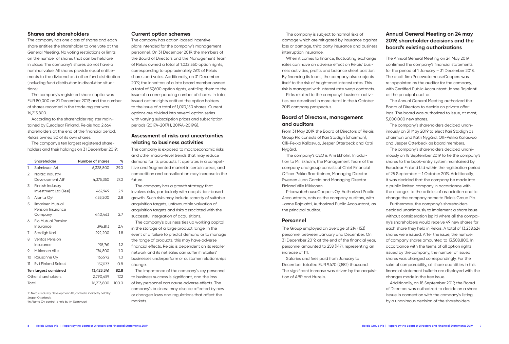#### **Shares and shareholders**

The company has one class of shares and each share entitles the shareholder to one vote at the General Meeting. No voting restrictions or limits on the number of shares that can be held are in place. The company's shares do not have a nominal value. All shares provide equal entitlements to the dividend and other fund distribution (including fund distribution in dissolution situations).

The company's registered share capital was EUR 80,000 on 31 December 2019, and the number of shares recorded in the trade register was 16,213,800.

According to the shareholder register maintained by Euroclear Finland, Relais had 2,664 shareholders at the end of the financial period. Relais owned 50 of its own shares.

The company's ten largest registered shareholders and their holdings on 31 December 2019:

|       | Shareholder                                    | Number of shares | %     | d                    |
|-------|------------------------------------------------|------------------|-------|----------------------|
| 1     | Salmivuori Ari                                 | 6,328,800        | 39.0  | iti                  |
| 2     | Nordic Industry<br>Development AB <sup>1</sup> | 4,375,350        | 27.0  | C <sub>C</sub><br>fu |
| 3     | Finnish Industry<br>Investment Ltd (Tesi)      | 462,949          | 2.9   | in                   |
| 4     | Ajanta $Oy^2$                                  | 453,200          | 2.8   | gı                   |
| 5     | <b>Ilmarinen Mutual</b><br>Pension Insurance   |                  |       | <b>a</b><br><b>a</b> |
|       | Company                                        | 440,463          | 2.7   | SL                   |
| 6     | <b>Elo Mutual Pension</b><br>Insurance         | 396,813          | 2.4   | in                   |
| 7     | Stadigh Kari                                   | 292,200          | 1.8   | e١                   |
| 8     | <b>Veritas Pension</b><br>Insurance            | 195,761          | 1.2   | th                   |
| 9     | Mikkonen Ville                                 | 174,800          | 1.0   | fir<br>ne            |
| 10    | Rausanne Oy                                    | 165,972          | 1.0   | b١                   |
| 11    | <b>Evli Finland Select</b>                     | 137,033          | 0.8   | cł                   |
|       | Ten largest combined                           | 13,423,341       | 82.8  |                      |
|       | Other shareholders                             | 2,790,459        | 17.2  | tc                   |
| Total |                                                | 16,213,800       | 100.0 | of                   |

1 In Nordic Industry Development AB, control is indirectly held by Jesper Otterbeck. 2 In Ajanta Oy, control is held by Ari Salmivuori.

#### **Current option schemes**

The company has option-based incentive plans intended for the company's management personnel. On 31 December 2019, the members of the Board of Directors and the Management Team of Relais owned a total of 1,032,550 option rights, corresponding to approximately 7.6% of Relais shares and votes. Additionally, on 31 December 2019, the inheritors of a late board member owned a total of 37,600 option rights, entitling them to the issue of a corresponding number of shares. In total, issued option rights entitled the option holders to the issue of a total of 1,070,150 shares. Current options are divided into several option series with varying subscription prices and subscription periods (2017A-2017H, 2019A-2019G).

## **Assessment of risks and uncertainties relating to business activities**

The company is exposed to macroeconomic risks and other macro-level trends that may reduce emand for its products. It operates in a competive and fragmented market in certain areas, and competition and consolidation may increase in the iture.

The company has a growth strategy that ivolves risks, particularly with acquisition-based rowth. Such risks may include scarcity of suitable acquisition targets, unfavourable valuation of acquisition targets and risks associated with the uccessful integration of acquisitions.

The company's business ties up working capital the storage of a large product range. In the

vent of a failure to predict demand or to manage he range of products, this may have adverse nancial effects. Relais is dependent on its retailer

etwork and its net sales can suffer if retailers' usinesses underperform or customer relationships hange.

The importance of the company's key personnel business success is significant, and the loss key personnel can cause adverse effects. The company's business may also be affected by new or changed laws and regulations that affect the markets.

The company is subject to normal risks of damage which are mitigated by insurance against loss or damage, third party insurance and business interruption insurance.

When it comes to finance, fluctuating exchange rates can have an adverse effect on Relais' business activities, profits and balance sheet position. By financing its loans, the company also subjects itself to the risk of heightened interest rates. This risk is managed with interest rate swap contracts.

Risks related to the company's business activities are described in more detail in the 4 October 2019 company prospectus.

### **Board of Directors, management and auditors**

From 31 May 2019, the Board of Directors of Relais Group Plc consists of Kari Stadigh (chairman), Olli-Pekka Kallasvuo, Jesper Otterbeck and Katri Nygård.

The company's CEO is Arni Ekholm. In addition to Mr. Ekholm, the Management Team of the company and group consists of Chief Financial Officer Pekka Raatikainen, Managing Director Sweden Juan Garcia and Managing Director Finland Ville Mikkonen.

PricewaterhouseCoopers Oy, Authorized Public Accountants, acts as the company auditors, with Janne Rajalahti, Authorized Public Accountant, as the principal auditor.

#### **Personnel**

The Group employed an average of 214 (153) personnel between January and December. On 31 December 2019, at the end of the financial year, personnel amounted to 258 (147), representing an increase of 111.

Salaries and fees paid from January to December totalled EUR 9,470 (7,552) thousand. The significant increase was driven by the acquisition of ABR and Huzells.

## **Annual General Meeting on 24 may 2019, shareholder decisions and the board's existing authorizations**

The Annual General Meeting on 24 May 2019 confirmed the company's financial statements for the period of 1 January – 31 December 2018. The audit firm PricewaterhouseCoopers was re-appointed as the auditor for the company, with Certified Public Accountant Janne Rajalahti as the principal auditor.

The Annual General Meeting authorized the Board of Directors to decide on private offerings. The board was authorized to issue, at most, 5,000,000 new shares.

The company's shareholders decided unanimously on 31 May 2019 to elect Kari Stadigh as chairman and Katri Nygård, Olli-Pekka Kallasvuo and Jesper Otterbeck as board members.

The company's shareholders decided unanimously on 18 September 2019 to tie the company's shares to the book-entry system maintained by Euroclear Finland Ltd within the registration period of 25 September – 1 October 2019. Additionally, it was decided that the company be made into a public limited company in accordance with the changes to the articles of association and to change the company name to Relais Group Plc.

Furthermore, the company's shareholders decided unanimously to implement a share issue without consideration (split) where all the company's shareholders would receive 49 new shares for each share they held in Relais. A total of 13,238,624 shares were issued. After the issue, the number of company shares amounted to 13,508,800. In accordance with the terms of all option rights issued by the company, the number of issued shares was changed correspondingly. For the sake of comparability, all share quantities in this financial statement bulletin are displayed with the changes made in the free issue.

Additionally, on 18 September 2019, the Board of Directors was authorized to decide on a share isssue in connection with the company's listing by a unanimous decision of the shareholders.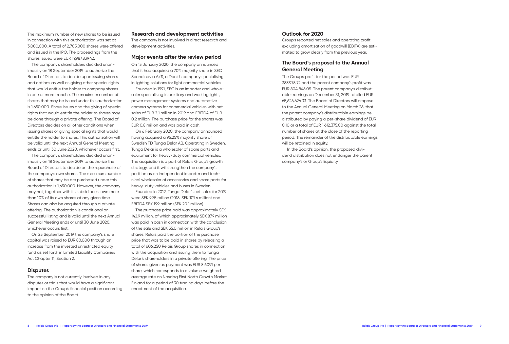The maximum number of new shares to be issued in connection with this authorization was set at 3,000,000. A total of 2,705,000 shares were offered and issued in the IPO. The proceedings from the shares issued were EUR 19,987,839.42.

The company's shareholders decided unanimously on 18 September 2019 to authorize the Board of Directors to decide upon issuing shares and options as well as giving other special rights that would entitle the holder to company shares in one or more tranche. The maximum number of shares that may be issued under this authorization is 1,650,000. Share issues and the giving of special rights that would entitle the holder to shares may be done through a private offering. The Board of Directors decides on all other conditions when issuing shares or giving special rights that would entitle the holder to shares. This authorization will be valid until the next Annual General Meeting ends or until 30 June 2020, whichever occurs first.

The company's shareholders decided unanimously on 18 September 2019 to authorize the Board of Directors to decide on the repurchase of the company's own shares. The maximum number of shares that may be are purchased under this authorization is 1,650,000. However, the company may not, together with its subsidiaries, own more than 10% of its own shares at any given time. Shares can also be acquired through a private offering. The authorization is conditional on successful listing and is valid until the next Annual General Meeting ends or until 30 June 2020, whichever occurs first.

On 25 September 2019 the company's share capital was raised to EUR 80,000 through an increase from the invested unrestricted equity fund as set forth in Limited Liability Companies Act Chapter 11, Section 2.

#### **Disputes**

The company is not currently involved in any disputes or trials that would have a significant impact on the Group's financial position according to the opinion of the Board.

#### **Research and development activities**

The company is not involved in direct research and development activities.

#### **Major events after the review period**

On 15 January 2020, the company announced that it had acquired a 70% majority share in SEC Scandinavia A/S, a Danish company specialising in lighting solutions for light commercial vehicles.

Founded in 1991, SEC is an importer and wholesaler specialising in auxiliary and working lights, power management systems and automotive camera systems for commercial vehicles with net sales of EUR 2.1 million in 2019 and EBITDA of EUR 0.2 million. The purchase price for the shares was EUR 0.8 million and was paid in cash.

On 6 February 2020, the company announced having acquired a 95.25% majority share of Swedish TD Tunga Delar AB. Operating in Sweden, Tunga Delar is a wholesaler of spare parts and equipment for heavy-duty commercial vehicles. The acquisition is a part of Relais Group's growth strategy, and it will strengthen the company's position as an independent importer and technical wholesaler of accessories and spare parts for heavy-duty vehicles and buses in Sweden.

Founded in 2012, Tunga Delar's net sales for 2019 were SEK 99.5 million (2018: SEK 101.6 million) and EBITDA SEK 19.9 million (SEK 20.1 million).

The purchase price paid was approximately SEK 142.9 million, of which approximately SEK 87.9 million was paid in cash in connection with the conclusion of the sale and SEK 55.0 million in Relais Group's shares. Relais paid the portion of the purchase price that was to be paid in shares by releasing a total of 606,250 Relais Group shares in connection with the acquisition and issuing them to Tunga Delar's shareholders in a private offering. The price of shares given as payment was EUR 8.6091 per share, which corresponds to a volume weighted average rate on Nasdaq First North Growth Market Finland for a period of 30 trading days before the enactment of the acquisition.

### **Outlook for 2020**

Group's reported net sales and operating profit excluding amortization of goodwill (EBITA) are estimated to grow clearly from the previous year.

### **The Board's proposal to the Annual General Meeting**

The Group's profit for the period was EUR 383,978.72 and the parent company's profit was EUR 804,846.05. The parent company's distributable earnings on December 31, 2019 totalled EUR 65,626,626.33. The Board of Directors will propose to the Annual General Meeting on March 26, that the parent company's distributable earnings be distributed by paying a per-share dividend of EUR 0.10 or a total of EUR 1,612,375.00 against the total number of shares at the close of the reporting period. The remainder of the distributable earnings will be retained in equity.

 In the Board's opinion, the proposed dividend distribution does not endanger the parent company's or Group's liquidity.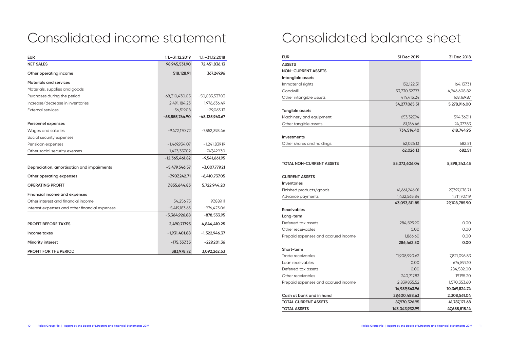# Consolidated income statement

| <b>EUR</b>                                     | $1.1 - 31.12.2019$ | $1.1 - 31.12.2018$ |
|------------------------------------------------|--------------------|--------------------|
| <b>NET SALES</b>                               | 98,945,531.90      | 72,451,836.13      |
| Other operating income                         | 518,128.91         | 367,249.96         |
| <b>Materials and services</b>                  |                    |                    |
| Materials, supplies and goods                  |                    |                    |
| Purchases during the period                    | $-68,310,430.05$   | $-50,083,537.03$   |
| Increase/decrease in inventories               | 2,491,184.23       | 1,976,636.49       |
| <b>External services</b>                       | $-36,519.08$       | $-29,063.13$       |
|                                                | $-65,855,764.90$   | $-48,135,963.67$   |
| Personnel expenses                             |                    |                    |
| Wages and salaries                             | $-9,472,170.72$    | -7,552,393.46      |
| Social security expenses                       |                    |                    |
| Pensioon expenses                              | $-1,469,934.07$    | $-1,241,839.19$    |
| Other social security exenses                  | $-1,423,357.02$    | $-747,429.30$      |
|                                                | $-12,365,461.82$   | $-9,541,661.95$    |
| Depreciation, amortisation and impairments     | $-5,479,546.57$    | $-3,007,779.21$    |
| Other operating expenses                       | $-7,907,242.71$    | $-6,410,737.05$    |
| <b>OPERATING PROFIT</b>                        | 7,855,644.83       | 5,722,944.20       |
| Financial income and expenses                  |                    |                    |
| Other interest and financial income            | 54,256.75          | 97,889.11          |
| Interest expenses and other financial expenses | $-5,419,183.63$    | $-976,423.06$      |
|                                                | -5,364,926.88      | $-878,533.95$      |
| <b>PROFIT BEFORE TAXES</b>                     | 2,490,717.95       | 4,844,410.25       |
| Income taxes                                   | $-1,931,401.88$    | $-1,522,946.37$    |
| <b>Minority interest</b>                       | $-175,337.35$      | $-229,201.36$      |
| <b>PROFIT FOR THE PERIOD</b>                   | 383,978.72         | 3,092,262.53       |

# Consolidated balance sheet

| <b>EUR</b>                          | 31 Dec 2019    | 31 Dec 2018   |
|-------------------------------------|----------------|---------------|
| <b>ASSETS</b>                       |                |               |
| <b>NON-CURRENT ASSETS</b>           |                |               |
| Intangible assets                   |                |               |
| Immaterial rights                   | 132,122.51     | 164,137.31    |
| Goodwill                            | 53,730,527.77  | 4,946,608.82  |
| Other intangible assets             | 414,415.24     | 168,169.87    |
|                                     | 54,277,065.51  | 5,278,916.00  |
| Tangible assets                     |                |               |
| Machinery and equipment             | 653,327.94     | 594,367.11    |
| Other tangible assets               | 81,186.46      | 24,377.83     |
|                                     | 734,514.40     | 618,744.95    |
| Investments                         |                |               |
| Other shares and holdings           | 62,026.13      | 682.51        |
|                                     | 62,026.13      | 682.51        |
| <b>TOTAL NON-CURRENT ASSETS</b>     | 55,073,606.04  | 5,898,343.45  |
| <b>CURRENT ASSETS</b>               |                |               |
| Inventories                         |                |               |
| Finished products/goods             | 41,661,246.01  | 27,397,078.71 |
| Advance payments                    | 1,432,565.84   | 1,711,707.19  |
|                                     | 43,093,811.85  | 29,108,785.90 |
| <b>Receivables</b>                  |                |               |
| Long-term                           |                |               |
| Deferred tax assets                 | 284,595.90     | 0.00          |
| Other receivables                   | 0.00           | 0.00          |
| Prepaid expenses and accrued income | 1,866.60       | 0.00          |
|                                     | 286,462.50     | 0.00          |
| Short-term                          |                |               |
| Trade receivables                   | 11,908,990.62  | 7,821,096.83  |
| Loan receivables                    | 0.00           | 674,597.10    |
| Deferred tax assets                 | 0.00           | 284,582.00    |
| Other receivables                   | 240,717.83     | 19,195.20     |
| Prepaid expenses and accrued income | 2,839,855.52   | 1,570,353.60  |
|                                     | 14,989,563.96  | 10,369,824.74 |
| Cash at bank and in hand            | 29,600,488.63  | 2,308,561.04  |
| <b>TOTAL CURRENT ASSETS</b>         | 87,970,326.95  | 41,787,171.68 |
| <b>TOTAL ASSETS</b>                 | 143,043,932.99 | 47,685,515.14 |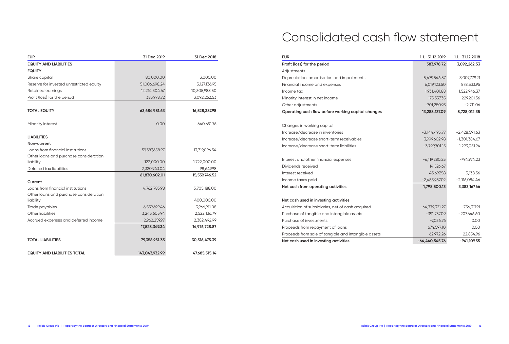| <b>EUR</b>                               | 31 Dec 2019    | 31 Dec 2018   |
|------------------------------------------|----------------|---------------|
| <b>EQUITY AND LIABILITIES</b>            |                |               |
| <b>EQUITY</b>                            |                |               |
| Share capital                            | 80,000.00      | 3,000.00      |
| Reserve for invested unrestricted equity | 51,006,698.24  | 3,127,136.95  |
| Retained earnings                        | 12,214,304.67  | 10,305,988.50 |
| Profit (loss) for the period             | 383,978.72     | 3,092,262.53  |
|                                          |                |               |
| <b>TOTAL EQUITY</b>                      | 63,684,981.63  | 16,528,387.98 |
| Minority Interest                        | 0.00           | 640,651.76    |
| <b>LIABILITIES</b>                       |                |               |
| Non-current                              |                |               |
| Loans from financial institutions        | 59,387,658.97  | 13,719,096.54 |
| Other loans and purchase consideration   |                |               |
| liability                                | 122,000.00     | 1,722,000.00  |
| Deferred tax liabilities                 | 2,320,943.04   | 98,649.98     |
|                                          | 61,830,602.01  | 15,539,746.52 |
| Current                                  |                |               |
| Loans from financial institutions        | 4,762,783.98   | 5,705,188.00  |
| Other loans and purchase consideration   |                |               |
| liability                                |                | 400,000.00    |
| Trade payables                           | 6,559,699.46   | 3,966,911.08  |
| Other liabilities                        | 3,243,605.94   | 2,522,136.79  |
| Accrued expenses and deferred income     | 2,962,259.97   | 2,382,492.99  |
|                                          | 17,528,349.34  | 14,976,728.87 |
| <b>TOTAL LIABILITIES</b>                 | 79,358,951.35  | 30,516,475.39 |
| <b>EQUITY AND LIABILITIES TOTAL</b>      | 143,043,932.99 | 47,685,515.14 |

## Consolidated cash flow statement

| <b>EUR</b>                                           | $1.1 - 31.12.2019$ | $1.1 - 31.12.2018$ |
|------------------------------------------------------|--------------------|--------------------|
| Profit (loss) for the period                         | 383,978.72         | 3,092,262.53       |
| Adjustments                                          |                    |                    |
| Depreciation, amortisation and impairments           | 5,479,546.57       | 3,007,779.21       |
| Financial income and expenses                        | 6,019,123.50       | 878,533.95         |
| Income tax                                           | 1,931,401.88       | 1,522,946.37       |
| Minority interest in net income                      | 175,337.35         | 229,201.36         |
| Other adjustments                                    | $-701,250.93$      | $-2,711.06$        |
| Operating cash flow before working capital changes   | 13,288,137.09      | 8,728,012.35       |
| Changes in working capital                           |                    |                    |
| Increase/decrease in inventories                     | $-3,144,495.77$    | $-2,428,591.63$    |
| Increase/decrease short-term receivables             | 3,999,602.98       | $-1,301,384.67$    |
| Increase/decrease short-term liabilities             | $-3,799,701.15$    | 1,293,051.94       |
| Interest and other financial expenses                | $-6,119,280.25$    | -794,974.23        |
| Dividends received                                   | 14,526.67          |                    |
| Interest received                                    | 43,697.58          | 3,138.36           |
| Income taxes paid                                    | $-2,483,987.02$    | $-2,116,084.46$    |
| Net cash from operating activities                   | 1,798,500.13       | 3,383,167.66       |
| Net cash used in investing activities                |                    |                    |
| Acquisition of subsidiaries, net of cash acquired    | $-64,779,321.27$   | $-756,317.91$      |
| Purchase of tangible and intangible assets           | $-391,757.09$      | $-207,646.60$      |
| Purchase of investments                              | $-7,036.76$        | 0.00               |
| Proceeds from repayment of loans                     | 674,597.10         | 0.00               |
| Proceeds from sale of tangible and intangible assets | 62,972.26          | 22,854.96          |
| Net cash used in investing activities                | $-64,440,545.76$   | $-941,109.55$      |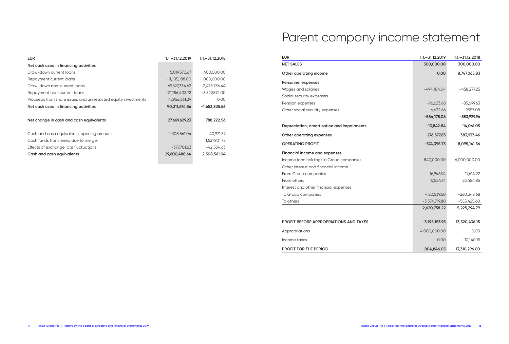| <b>EUR</b>                                                     | $1.1 - 31.12.2019$ | $1.1 - 31.12.2018$ |
|----------------------------------------------------------------|--------------------|--------------------|
| Net cash used in financing activities                          |                    |                    |
| Draw-down current loans                                        | 5,019,370.67       | 400,000.00         |
| Repayment current loans                                        | $-11,105,188.00$   | $-1,000,000.00$    |
| Draw-down non-current loans                                    | 69,627,334.62      | 2,475,736.44       |
| Repayment non-current loans                                    | $-21,186,403.72$   | $-3,529,572.00$    |
| Proceeds from share issues and unrestricted equity investments | 47,956,561.29      | 0.00               |
| Net cash used in financing activities                          | 90,311,674.86      | $-1,653,835.56$    |
|                                                                |                    |                    |
| Net change in cash and cash equivalents                        | 27,669,629.23      | 788,222.56         |
|                                                                |                    |                    |
| Cash and cash equivalents, opening amount                      | 2,308,561.04       | 40,971.37          |
| Cash funds transferred due to merger                           |                    | 1,521,901.75       |
| Effects of exchange rate fluctuations                          | $-377,701.63$      | $-42,534.63$       |
| Cash and cash equivalents                                      | 29,600,488.64      | 2,308,561.04       |
|                                                                |                    |                    |

# Parent company income statement

| <b>NET SALES</b><br>300,000.00<br>300,000.00<br>0.00<br>8,747,065.83<br>Other operating income<br>Personnel expenses<br>Wages and salaries<br>$-494,184.04$<br>$-458,277.25$<br>Social security expenses<br>Pension expenses<br>$-96,623.68$<br>$-85,699.63$<br>Other social security expenses<br>6,632.66<br>$-9,953.08$<br>$-584,175.06$<br>$-553,929.96$<br>$-13,842.84$<br>$-14,061.05$<br>Depreciation, amortisation and impairments<br>Other operating expenses<br>$-276,377.83$<br>-383,933.46<br><b>OPERATING PROFIT</b><br>$-574,395.73$<br>8,095,141.36<br>Financial income and expenses<br>Income form holdings in Group companies<br>840,000.00<br>6,000,000.00<br>Other interest and financial income<br>16,946.94<br>17,614.22<br>From Group companies<br>From others<br>17,554.14<br>23,454.85<br>Interest and other financial expenses<br>To Group companies<br>$-120,539.50$<br>$-260,348.68$ |
|----------------------------------------------------------------------------------------------------------------------------------------------------------------------------------------------------------------------------------------------------------------------------------------------------------------------------------------------------------------------------------------------------------------------------------------------------------------------------------------------------------------------------------------------------------------------------------------------------------------------------------------------------------------------------------------------------------------------------------------------------------------------------------------------------------------------------------------------------------------------------------------------------------------|
|                                                                                                                                                                                                                                                                                                                                                                                                                                                                                                                                                                                                                                                                                                                                                                                                                                                                                                                |
|                                                                                                                                                                                                                                                                                                                                                                                                                                                                                                                                                                                                                                                                                                                                                                                                                                                                                                                |
|                                                                                                                                                                                                                                                                                                                                                                                                                                                                                                                                                                                                                                                                                                                                                                                                                                                                                                                |
|                                                                                                                                                                                                                                                                                                                                                                                                                                                                                                                                                                                                                                                                                                                                                                                                                                                                                                                |
|                                                                                                                                                                                                                                                                                                                                                                                                                                                                                                                                                                                                                                                                                                                                                                                                                                                                                                                |
|                                                                                                                                                                                                                                                                                                                                                                                                                                                                                                                                                                                                                                                                                                                                                                                                                                                                                                                |
|                                                                                                                                                                                                                                                                                                                                                                                                                                                                                                                                                                                                                                                                                                                                                                                                                                                                                                                |
|                                                                                                                                                                                                                                                                                                                                                                                                                                                                                                                                                                                                                                                                                                                                                                                                                                                                                                                |
|                                                                                                                                                                                                                                                                                                                                                                                                                                                                                                                                                                                                                                                                                                                                                                                                                                                                                                                |
|                                                                                                                                                                                                                                                                                                                                                                                                                                                                                                                                                                                                                                                                                                                                                                                                                                                                                                                |
|                                                                                                                                                                                                                                                                                                                                                                                                                                                                                                                                                                                                                                                                                                                                                                                                                                                                                                                |
|                                                                                                                                                                                                                                                                                                                                                                                                                                                                                                                                                                                                                                                                                                                                                                                                                                                                                                                |
|                                                                                                                                                                                                                                                                                                                                                                                                                                                                                                                                                                                                                                                                                                                                                                                                                                                                                                                |
|                                                                                                                                                                                                                                                                                                                                                                                                                                                                                                                                                                                                                                                                                                                                                                                                                                                                                                                |
|                                                                                                                                                                                                                                                                                                                                                                                                                                                                                                                                                                                                                                                                                                                                                                                                                                                                                                                |
|                                                                                                                                                                                                                                                                                                                                                                                                                                                                                                                                                                                                                                                                                                                                                                                                                                                                                                                |
|                                                                                                                                                                                                                                                                                                                                                                                                                                                                                                                                                                                                                                                                                                                                                                                                                                                                                                                |
|                                                                                                                                                                                                                                                                                                                                                                                                                                                                                                                                                                                                                                                                                                                                                                                                                                                                                                                |
| To others<br>$-3,374,719.80$<br>$-555,425.60$                                                                                                                                                                                                                                                                                                                                                                                                                                                                                                                                                                                                                                                                                                                                                                                                                                                                  |
| $-2,620,758.22$<br>5,225,294.79                                                                                                                                                                                                                                                                                                                                                                                                                                                                                                                                                                                                                                                                                                                                                                                                                                                                                |
| <b>PROFIT BEFORE APPROPRIATIONS AND TAXES</b><br>$-3,195,153.95$<br>13,320,436.15                                                                                                                                                                                                                                                                                                                                                                                                                                                                                                                                                                                                                                                                                                                                                                                                                              |
| 4,000,000.00<br>0.00<br>Appropriations                                                                                                                                                                                                                                                                                                                                                                                                                                                                                                                                                                                                                                                                                                                                                                                                                                                                         |
| $-10,140.15$<br>Income taxes<br>0.00                                                                                                                                                                                                                                                                                                                                                                                                                                                                                                                                                                                                                                                                                                                                                                                                                                                                           |
| <b>PROFIT FOR THE PERIOD</b><br>804,846.05<br>13,310,296.00                                                                                                                                                                                                                                                                                                                                                                                                                                                                                                                                                                                                                                                                                                                                                                                                                                                    |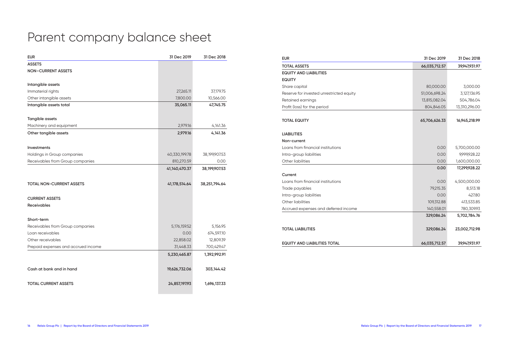# Parent company balance sheet

| <b>EUR</b>                          | 31 Dec 2019   | 31 Dec 2018   |
|-------------------------------------|---------------|---------------|
| <b>ASSETS</b>                       |               |               |
| <b>NON-CURRENT ASSETS</b>           |               |               |
|                                     |               |               |
| Intangible assets                   |               |               |
| Immaterial rights                   | 27,265.11     | 37,179.75     |
| Other intangible assets             | 7,800.00      | 10,566.00     |
| Intangible assets total             | 35,065.11     | 47,745.75     |
|                                     |               |               |
| Tangible assets                     |               |               |
| Machinery and equipment             | 2,979.16      | 4,141.36      |
| Other tangible assets               | 2,979.16      | 4,141.36      |
|                                     |               |               |
| <b>Investments</b>                  |               |               |
| Holdings in Group companies         | 40,330,199.78 | 38,199,907.53 |
| Receivables from Group companies    | 810,270.59    | 0.00          |
|                                     | 41,140,470.37 | 38,199,907.53 |
|                                     |               |               |
| <b>TOTAL NON-CURRENT ASSETS</b>     | 41,178,514.64 | 38,251,794.64 |
|                                     |               |               |
| <b>CURRENT ASSETS</b>               |               |               |
| <b>Receivables</b>                  |               |               |
|                                     |               |               |
| Short-term                          |               |               |
| Receivables from Group companies    | 5,176,159.52  | 5,156.95      |
| Loan receivables                    | 0.00          | 674,597.10    |
| Other receivables                   | 22,858.02     | 12,809.39     |
| Prepaid expenses and accrued income | 31,448.33     | 700,429.47    |
|                                     | 5,230,465.87  | 1,392,992.91  |
|                                     |               |               |
| Cash at bank and in hand            | 19,626,732.06 | 303,144.42    |
|                                     |               |               |
| <b>TOTAL CURRENT ASSETS</b>         | 24,857,197.93 | 1,696,137.33  |
|                                     |               |               |

| <b>EUR</b>                               | 31 Dec 2019   | 31 Dec 2018   |
|------------------------------------------|---------------|---------------|
| <b>TOTAL ASSETS</b>                      | 66,035,712.57 | 39,947,931.97 |
| <b>EQUITY AND LIABILITIES</b>            |               |               |
| <b>EQUITY</b>                            |               |               |
| Share capital                            | 80,000.00     | 3,000.00      |
| Reserve for invested unrestricted equity | 51,006,698.24 | 3,127,136.95  |
| Retained earnings                        | 13,815,082.04 | 504,786.04    |
| Profit (loss) for the period             | 804,846.05    | 13,310,296.00 |
|                                          |               |               |
| <b>TOTAL EQUITY</b>                      | 65,706,626.33 | 16,945,218.99 |
| <b>LIABILITIES</b>                       |               |               |
| Non-current                              |               |               |
| Loans from financial institutions        | 0.00          | 5,700,000.00  |
| Intra-group liabilities                  | 0.00          | 9,999,928.22  |
| Other liabilities                        | 0.00          | 1,600,000.00  |
|                                          | 0.00          | 17,299,928.22 |
| Current                                  |               |               |
| Loans from financial institutions        | 0.00          | 4,500,000.00  |
| Trade payables                           | 79,215.35     | 8,513.18      |
| Intra-group liabilities                  | 0.00          | 427.80        |
| Other liabilities                        | 109,312.88    | 413,533.85    |
| Accrued expenses and deferred income     | 140,558.01    | 780,309.93    |
|                                          | 329,086.24    | 5,702,784.76  |
| <b>TOTAL LIABILITIES</b>                 | 329,086.24    | 23,002,712.98 |
| <b>EQUITY AND LIABILITIES TOTAL</b>      | 66,035,712.57 | 39,947,931.97 |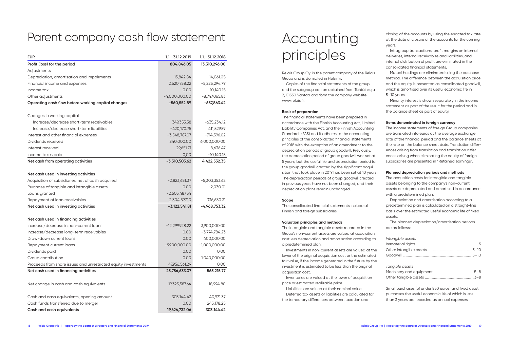## Parent company cash flow statement

| <b>EUR</b>                                                     | $1.1 - 31.12.2019$ | $1.1 - 31.12.2018$ |
|----------------------------------------------------------------|--------------------|--------------------|
| Profit (loss) for the period                                   | 804,846.05         | 13,310,296.00      |
| Adjustments                                                    |                    |                    |
| Depreciation, amortisation and impairments                     | 13,842.84          | 14,061.05          |
| Financial income and expenses                                  | 2,620,758.22       | $-5,225,294.79$    |
| Income tax                                                     | 0.00               | 10,140.15          |
| Other adjustments                                              | $-4,000,000.00$    | $-8,747,065.83$    |
| Operating cash flow before working capital changes             | $-560,552.89$      | $-637,863.42$      |
| Changes in working capital                                     |                    |                    |
| Increase/decrease short-term receivables                       | 349,355.38         | $-635,234.12$      |
| Increase/decrease short-term liabilities                       | $-420,170.75$      | 411,529.59         |
| Interest and other financial expenses                          | $-3,548,787.07$    | $-714,396.02$      |
| Dividends received                                             | 840,000.00         | 6,000,000.00       |
| Interest received                                              | 29,651.71          | 8,636.47           |
| Income taxes paid                                              | 0,00               | $-10,140.15$       |
| Net cash from operating activities                             | $-3,310,503.62$    | 4,422,532.35       |
| Net cash used in investing activities                          |                    |                    |
| Acquisition of subsidiaries, net of cash acquired              | $-2,823,651.37$    | $-5,303,353.62$    |
| Purchase of tangible and intangible assets                     | 0.00               | $-2,030.01$        |
| Loans granted                                                  | $-2,603,487.54$    |                    |
| Repayment of loan receivables                                  | 2,304,597.10       | 336,630.31         |
| Net cash used in investing activities                          | $-3,122,541.81$    | -4,968,753.32      |
| Net cash used in financing activities                          |                    |                    |
| Increase/decrease in non-current loans                         | $-12,299,928.22$   | 3,900,000.00       |
| Increase/decrease long-term receivables                        | 0.00               | $-3,774,784.23$    |
| Draw-down current loans                                        | 0.00               | 400,000.00         |
| Repayment current loans                                        | $-9,900,000.00$    | $-1,000,000.00$    |
| Dividends paid                                                 | 0.00               | 0.00               |
| Group contribution                                             | 0.00               | 1,040,000.00       |
| Proceeds from share issues and unrestricted equity investments | 47,956,561.29      | 0.00               |
| Net cash used in financing activities                          | 25,756,633.07      | 565,215.77         |
| Net change in cash and cash equivalents                        | 19,323,587.64      | 18,994.80          |
| Cash and cash equivalents, opening amount                      | 303,144.42         | 40,971.37          |
| Cash funds transferred due to merger                           | 0.00               | 243,178.25         |
| Cash and cash equivalents                                      | 19,626,732.06      | 303,144.42         |

# Accounting principles

Relais Group Oyj is the parent company of the Relais Group and is domiciled in Helsinki.

Copies of the financial statements of the group and the subgroup can be obtained from Tähtäinkuja 2, 01530 Vantaa and form the company website www.relais.fi.

#### **Basis of preparation**

The financial statements have been prepared in accordance with the Finnish Accounting Act, Limited Liability Companies Act, and the Finnish Accounting Standards (FAS) and it adheres to the accounting principles of the consolidated financial statements of 2018 with the exception of an amendment to the depreciation periods of group goodwill. Previously, the depreciation period of group goodwill was set at 5 years, but the useful life and depreciation period for the group goodwill created by the significant acquisition that took place in 2019 has been set at 10 years. The depreciation periods of group goodwill created in previous years have not been changed, and their depreciation plans remain unchanged.

#### **Scope**

The consolidated financial statements include all Finnish and foreign subsidiaries.

#### **Valuation principles and methods**

The intangible and tangible assets recorded in the Group's non-current assets are valued at acquisition cost less depreciation and amortisation according to a predetermined plan.

Investments in non-current assets are valued at the lower of the original acquisition cost or the estimated fair value, if the income generated in the future by the investment is estimated to be less than the original acquisition cost.

Inventories are valued at the lower of acquisition price or estimated realizable price.

Liabilities are valued at their nominal value. Deferred tax assets or liabilities are calculated for

the temporary differences between taxation and

closing of the accounts by using the enacted tax rate at the date of closure of the accounts for the coming years.

Intragroup transactions, profit margins on internal deliveries, internal receivables and liabilities, and internal distribution of profit are eliminated in the consolidated financial statements.

Mutual holdings are eliminated using the purchase method. The difference between the acquisition price and the equity is presented as consolidated goodwill, which is amortised over its useful economic life in 5–10 years.

Minority interest is shown separately in the income statement as part of the result for the period and in the balance sheet as part of equity.

#### **Items denominated in foreign currency**

The income statements of foreign Group companies are translated into euros at the average exchange rate of the financial period and the balance sheets at the rate on the balance sheet date. Translation differences arising from translation and translation differences arising when eliminating the equity of foreign subsidiaries are presented in "Retained earnings".

#### **Planned depreciation periods and methods**

The acquisition costs for intangible and tangible assets belonging to the company's non-current assets are depreciated and amortised in accordance with a predetermined plan.

Depreciation and amortisation according to a predetermined plan is calculated on a straight-line basis over the estimated useful economic life of fixed assets.

The planned depreciation/amortisation periods are as follows:

#### *Intangible assets*

#### *Tangible assets*

Small purchases (of under 850 euros) and fixed asset purchases the useful economic life of which is less than 3 years are recorded as annual expenses.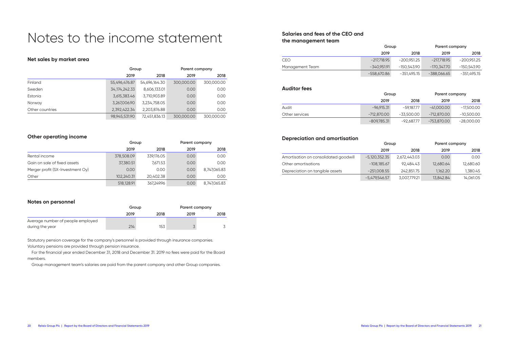## Notes to the income statement

## **Net sales by market area**

|                 | Group            |               | Parent company |            |
|-----------------|------------------|---------------|----------------|------------|
|                 | 2019             | 2018          | 2019           | 2018       |
| Finland         | 55,496,476.87    | 54,696,164.30 | 300,000.00     | 300,000.00 |
| Sweden          | 34, 174, 242. 33 | 8,606,133.01  | 0.00           | 0.00       |
| Estonia         | 3,615,383.46     | 3,710,903.89  | 0.00           | 0.00       |
| Norway          | 3,267,006.90     | 3,234,758.05  | 0.00           | 0.00       |
| Other countries | 2,392,422.34     | 2,203,876.88  | 0.00           | 0.00       |
|                 | 98,945,531.90    | 72,451,836.13 | 300,000.00     | 300,000.00 |

## **Other operating income**

|                                  | Group      |            | Parent company |              |
|----------------------------------|------------|------------|----------------|--------------|
|                                  | 2019       | 2018       | 2019           | 2018         |
| Rental income                    | 378,508.09 | 339,176.05 | 0.00           | 0.00         |
| Gain on sale of fixed assets     | 37,380.51  | 7.671.53   | 0.00           | 0.00         |
| Merger profit (SX-Investment Oy) | 0.00       | 0.00       | 0.00           | 8,747,065.83 |
| Other                            | 102.240.31 | 20.402.38  | 0.00           | 0.00         |
|                                  | 518,128.91 | 367.249.96 | 0.00           | 8,747,065.83 |

## **Notes on personnel**

|                                   | Group |      | Parent company |      |
|-----------------------------------|-------|------|----------------|------|
|                                   | 2019  | 2018 | 2019           | 2018 |
| Average number of people employed |       |      |                |      |
| during the year                   | 214   | 153  |                |      |

Statutory pension coverage for the company's personnel is provided through insurance companies. Voluntary pensions are provided through pension insurance.

For the financial year ended December 31, 2018 and December 31. 2019 no fees were paid for the Board members.

Group management team's salaries are paid from the parent company and other Group companies.

## **Salaries and fees of the CEO and the management team**

|                 |               | Group       |               | Parent company |
|-----------------|---------------|-------------|---------------|----------------|
|                 | 2019          | 2018        | 2019          | 2018           |
| CEO             | $-217.718.95$ | -200.951.25 | -217.718.95   | -200.951.25    |
| Management Team | -340.951.91   | -150.543.90 | -170.347.70   | -150.543.90    |
|                 | -558.670.86   | -351.495.15 | $-388.066.65$ | -351.495.15    |

### **Auditor fees**

|                |               | Group      |               | Parent company |
|----------------|---------------|------------|---------------|----------------|
|                | 2019          | 2018       | 2019          | 2018           |
| Audit          | $-96,915.31$  | -59.187.77 | $-41.000.00$  | -17,500.00     |
| Other services | -712.870.00   | -33.500.00 | $-712.870.00$ | $-10,500.00$   |
|                | $-809,785.31$ | -92,687.77 | -753.870.00   | $-28,000.00$   |

## **Depreciation and amortisation**

|                                       | Group           |              | Parent company |           |
|---------------------------------------|-----------------|--------------|----------------|-----------|
|                                       | 2019            | 2018         | 2019           | 2018      |
| Amortisation on consolidated goodwill | $-5,120,352.35$ | 2,672,443.03 | 0.00           | 0.00      |
| Other amortisations                   | $-108,185.67$   | 92.484.43    | 12,680.64      | 12,680.60 |
| Depreciation on tangible assets       | $-251,008.55$   | 242.851.75   | 1.162.20       | 1,380.45  |
|                                       | $-5,479,546.57$ | 3,007,779.21 | 13,842.84      | 14,061.05 |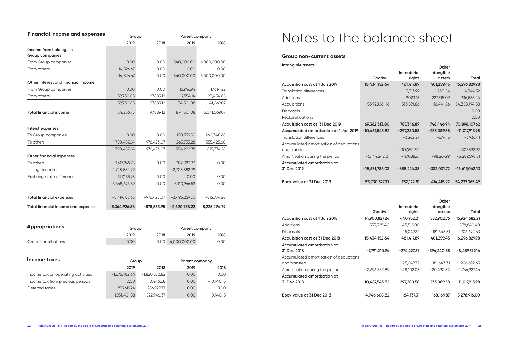| <b>Financial income and expenses</b> | Group           |               | Parent company  |               |
|--------------------------------------|-----------------|---------------|-----------------|---------------|
|                                      | 2019            | 2018          | 2019            | 2018          |
| Income from holdings in              |                 |               |                 |               |
| Group companies                      |                 |               |                 |               |
| From Group companies                 | 0.00            | 0.00          | 840,000.00      | 6,000,000.00  |
| From others                          | 14,526.67       | 0.00          | 0.00            | 0.00          |
|                                      | 14,526.67       | 0.00          | 840,000.00      | 6,000,000.00  |
| Other interest and financial income  |                 |               |                 |               |
| From Group companies                 | 0.00            | 0.00          | 16,946.94       | 17,614.22     |
| From others                          | 39,730.08       | 97,889.12     | 17,554.14       | 23,454.85     |
|                                      | 39,730.08       | 97,889.12     | 34,501.08       | 41,069.07     |
| <b>Total financial income</b>        | 54,256.75       | 97,889.12     | 874,501.08      | 6,041,069.07  |
| Interst expenses                     |                 |               |                 |               |
| To Group companies                   | 0.00            | 0.00          | $-120,539.50$   | $-260,348.68$ |
| To others                            | $-1,750,487.04$ | $-976,423.07$ | $-263,753.28$   | $-555,425.60$ |
|                                      | $-1,750,487.04$ | $-976,423.07$ | $-384,292.78$   | $-815,774,28$ |
| Other financial expenses             |                 |               |                 |               |
| To others                            | $-1,617,249.75$ | 0.00          | $-382,383.73$   | 0.00          |
| Listing expenses                     | $-2,728,582.79$ |               | $-2,728,582.79$ |               |
| Exchange rate differences            | 677,135.95      | 0.00          | 0.00            | 0.00          |
|                                      | $-3,668,696.59$ | 0.00          | $-3,110,966.52$ | 0.00          |
| <b>Total financial expenses</b>      | $-5,419,183.63$ | -976,423.07   | $-3,495,259.30$ | $-815,774.28$ |
| Total financial income and expenses  | -5,364,926.88   | $-878,533.95$ | $-2,620,758.22$ | 5,225,294.79  |

| <b>Appropriations</b> | Group |                      | Parent company |                   |
|-----------------------|-------|----------------------|----------------|-------------------|
|                       | 2019  | 2018                 | 2019           | 2018              |
| Group contributions   | 0.00  | $0.00 \, \mathsf{m}$ | 4,000,000.00   | 0.00 <sub>1</sub> |

| Income taxes                       | Group           |                 | Parent company    |              |
|------------------------------------|-----------------|-----------------|-------------------|--------------|
|                                    | 2019            | 2018            | 2019              | 2018         |
| Income tax on operating activities | $-1,675,782.64$ | $-1,820,372.82$ | 0.00 <sub>1</sub> | 0.00         |
| Income tax from previous periods   | 0.00            | 10,446.68       | 0.00 <sub>1</sub> | $-10,140.15$ |
| Deferred taxes                     | $-255,619.24$   | 286.979.77      | 0.00              | 0.00         |
|                                    | $-1,931,401.88$ | $-1,522,946.37$ | 0.00 <sub>1</sub> | $-10,140.15$ |

# Notes to the balance sheet

### **Group non-current assets**

| Intangible assets                      |                  |               | Other         |                  |
|----------------------------------------|------------------|---------------|---------------|------------------|
|                                        | Goodwill         | Immaterial    | intangible    | Total            |
|                                        |                  | rights        | assets        |                  |
| Acquisition cost at 1 Jan 2019         | 15,434,152.64    | 461,417.89    | 401,259.45    | 16,296,829.98    |
| Translation differences                |                  | 3,313.99      | 1,230.54      | 4,544.52         |
| Additions                              |                  | 9,023.15      | 227,515.09    | 236,538.24       |
| Acquisitions                           | 53,928,161.16    | 313,591.86    | 116,441.86    | 54, 358, 194.88  |
| <b>Disposals</b>                       |                  |               |               | 0.00             |
| Reclassifications                      |                  |               |               | 0.00             |
| Acquisition cost at 31 Dec 2019        | 69,362,313.80    | 787,346.89    | 746,446.94    | 70,896,107.62    |
| Accumulated amortisation at 1 Jan 2019 | $-10,487,543.82$ | $-297,280.58$ | $-233,089.58$ | $-11,017,913.98$ |
| <b>Translation differences</b>         |                  | $-3,262.27$   | $-674.15$     | $-3,936.41$      |
| Accumulated amortisation of deductions |                  |               |               |                  |
| and transfers                          |                  | $-307,592.92$ |               | $-307,592.92$    |
| Amortisation during the period         | $-5,144,242.21$  | $-47,088.61$  | $-98,267.99$  | $-5,289,598.81$  |
| Accumulated amortisation at            |                  |               |               |                  |
| 31 Dec 2019                            | $-15,631,786.03$ | $-655,224.38$ | -332,031.72   | $-16,619,042.13$ |
|                                        |                  |               |               |                  |
| Book value at 31 Dec 2019              | 53,730,527.77    | 132,122.51    | 414,415.22    | 54,277,065.49    |

|                                        |                 |                             | Other                |                 |
|----------------------------------------|-----------------|-----------------------------|----------------------|-----------------|
|                                        | Goodwill        | <b>Immaterial</b><br>rights | intangible<br>assets | Total           |
| Acquisition cost at 1 Jan 2018         | 14,900,827.24   | 440,952.21                  | 582,902.76           | 15,924,682.21   |
| Additions                              | 533,325.40      | 45,515.00                   |                      | 578,840.40      |
| <b>Disposals</b>                       |                 | $-25,049.32$                | $-181,643.31$        | $-206,692.63$   |
| Acquisition cost at 31 Dec 2018        | 15,434,152.64   | 461,417.89                  | 401,259.45           | 16,296,829.98   |
| Accumulated amortisation at            |                 |                             |                      |                 |
| 31 Dec 2018                            | -7,791,210.94   | -274,227.87                 | -394,240.35          | $-8,459,679.16$ |
| Accumulated amortisation of deductions |                 |                             |                      |                 |
| and transfers                          |                 | 25,049.32                   | 181,643.31           | 206,692.63      |
| Amortisation during the period         | $-2,696,332.89$ | $-48,102.03$                | $-20.492.54$         | $-2.764.927.46$ |
| Accumulated amortisation at            |                 |                             |                      |                 |
| 31 Dec 2018                            | -10,487,543.82  | $-297,280.58$               | -233.089.58          | -11,017,913.98  |
| Book value at 31 Dec 2018              | 4,946,608.82    | 164, 137. 31                | 168,169.87           |                 |
|                                        |                 |                             |                      | 5,278,916.00    |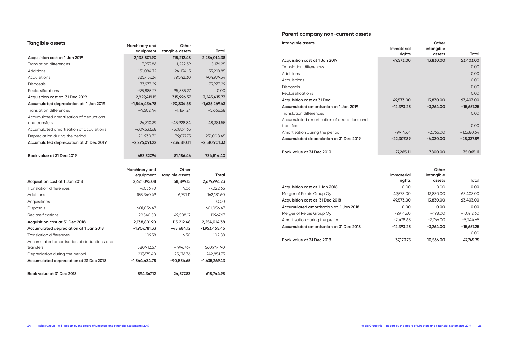## **Tangible assets**

| <b>Idngible dssets</b>                   | Marchinery and  | Other           |                 |
|------------------------------------------|-----------------|-----------------|-----------------|
|                                          | equipment       | tangible assets | Total           |
| Acquisition cost at 1 Jan 2019           | 2,138,801.90    | 115,212.48      | 2,254,014.38    |
| <b>Translation differences</b>           | 3,953.86        | 1,222.39        | 5,176.25        |
| <b>Additions</b>                         | 131,084.72      | 24,134.13       | 155,218.85      |
| Acquisitions                             | 825,437.24      | 79,542.30       | 904,979.54      |
| <b>Disposals</b>                         | $-73,973.29$    |                 | $-73,973.29$    |
| Reclassifications                        | $-95,885.27$    | 95,885.27       | 0.00            |
| Acquisition cost at 31 Dec 2019          | 2,929,419.15    | 315,996.57      | 3,245,415.73    |
| Accumulated depreciation at 1 Jan 2019   | -1,544,434.78   | $-90,834.65$    | $-1,635,269.43$ |
| <b>Translation differences</b>           | $-4,502.44$     | $-1,164.24$     | $-5,666.68$     |
| Accumulated amortisation of deductions   |                 |                 |                 |
| and transfers                            | 94,310.39       | $-45,928.84$    | 48,381.55       |
| Accumulated amortisation of acquisitions | $-609,533.68$   | $-57,804.63$    |                 |
| Depreciation during the period           | $-211,930.70$   | $-39,077.75$    | $-251,008.45$   |
| Accumulated depreciation at 31 Dec 2019  | $-2,276,091.22$ | $-234,810.11$   | $-2,510,901.33$ |
| Book value at 31 Dec 2019                | 653,327.94      | 81,186.46       | 734,514.40      |

|                                            | Marchinery and  | Other           |                 |
|--------------------------------------------|-----------------|-----------------|-----------------|
|                                            | equipment       | tangible assets | Total           |
| Acquisition cost at 1 Jan 2018             | 2,621,095.08    | 58,899.15       | 2,679,994.23    |
| Translation differences                    | $-7,036.70$     | 14.06           | $-7,022.65$     |
| <b>Additions</b>                           | 155,340.49      | 6,791.11        | 162,131.60      |
| Acquisitions                               |                 |                 | 0.00            |
| <b>Disposals</b>                           | $-601,056.47$   |                 | $-601,056.47$   |
| <b>Reclassifications</b>                   | $-29,540.50$    | 49,508.17       | 19,967.67       |
| Acquisition cost at 31 Dec 2018            | 2,138,801.90    | 115,212.48      | 2,254,014.38    |
| Accumulated depreciation at 1 Jan 2018     | $-1,907,781.33$ | -45,684.12      | $-1,953,465.45$ |
| Translation differences                    | 109.38          | $-6.50$         | 102.88          |
| Accumulated amortisation of deductions and |                 |                 |                 |
| transfers                                  | 580,912.57      | $-19,967.67$    | 560,944.90      |
| Depreciation during the period             | $-217,675.40$   | $-25,176.36$    | $-242,851.75$   |
| Accumulated depreciation at 31 Dec 2018    | -1,544,434.78   | $-90,834.65$    | $-1,635,269.43$ |
| Book value at 31 Dec 2018                  | 594,367.12      | 24,377.83       | 618,744.95      |

## **Parent company non-current assets**

| Intangible assets                          |                   | Other       |              |
|--------------------------------------------|-------------------|-------------|--------------|
|                                            | <b>Immaterial</b> | intangible  |              |
|                                            | rights            | assets      | Total        |
| Acquisition cost at 1 Jan 2019             | 49,573.00         | 13,830.00   | 63,403.00    |
| Translation differences                    |                   |             | 0.00         |
| Additions                                  |                   |             | 0.00         |
| Acquisitions                               |                   |             | 0.00         |
| <b>Disposals</b>                           |                   |             | 0.00         |
| Reclassifications                          |                   |             | 0.00         |
| Acquisition cost at 31 Dec                 | 49,573.00         | 13,830.00   | 63,403.00    |
| Accumulated amortisation at 1 Jan 2019     | $-12,393.25$      | $-3,264.00$ | $-15,657.25$ |
| Translation differences                    |                   |             | 0.00         |
| Accumulated amortisation of deductions and |                   |             |              |
| transfers                                  |                   |             | 0.00         |
| Amortisation during the period             | $-9,914.64$       | $-2,766.00$ | $-12,680.64$ |
| Accumulated depreciation at 31 Dec 2019    | $-22,307.89$      | $-6,030.00$ | $-28,337.89$ |
|                                            |                   |             |              |
| Book value at 31 Dec 2019                  | 27,265.11         | 7,800.00    | 35,065.11    |

|                                         | Immaterial   | Other<br>intangible |              |
|-----------------------------------------|--------------|---------------------|--------------|
|                                         | rights       | assets              | Total        |
| Acquisition cost at 1 Jan 2018          | 0.00         | 0.00                | 0.00         |
| Merger of Relais Group Oy               | 49.573.00    | 13.830.00           | 63.403.00    |
| Acquisition cost at 31 Dec 2018         | 49,573,00    | 13,830.00           | 63,403.00    |
| Accumulated amortisation at 1 Jan 2018  | 0.00         | 0.00                | 0.00         |
| Merger of Relais Group Oy               | $-9.914.60$  | $-498.00$           | $-10.412.60$ |
| Amortisation during the period          | $-2.478.65$  | $-2.766.00$         | $-5.244.65$  |
| Accumulated amortisation at 31 Dec 2018 | $-12.393.25$ | $-3.264.00$         | $-15,657.25$ |
|                                         |              |                     | 0.00         |
| Book value at 31 Dec 2018               | 37.179.75    | 10,566,00           | 47.745.75    |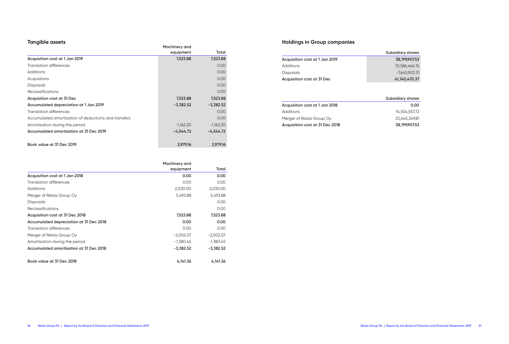## **Tangible assets**

| <b>IDIIGIDIE USSELS</b>                              |               |             |
|------------------------------------------------------|---------------|-------------|
|                                                      | Machinery and |             |
|                                                      | equipment     | Total       |
| Acquisition cost at 1 Jan 2019                       | 7,523.88      | 7,523.88    |
| <b>Translation differences</b>                       |               | 0.00        |
| <b>Additions</b>                                     |               | 0.00        |
| Acquistions                                          |               | 0.00        |
| <b>Disposals</b>                                     |               | 0.00        |
| Reclassifications                                    |               | 0.00        |
| Acquisition cost at 31 Dec                           | 7,523.88      | 7,523.88    |
| Accumulated depreciation at 1 Jan 2019               | $-3,382.52$   | $-3,382.52$ |
| <b>Translation differences</b>                       |               | 0.00        |
| Accumulated amortisation of deductions and transfers |               | 0.00        |
| Amortisation during the period                       | $-1,162.20$   | $-1,162.20$ |
| Accumulated amortisation at 31 Dec 2019              | $-4,544.72$   | $-4,544.72$ |
|                                                      |               |             |
| Book value at 31 Dec 2019                            | 2,979.16      | 2,979.16    |

|                                         | Machinery and |             |
|-----------------------------------------|---------------|-------------|
|                                         | equipment     | Total       |
| Acquisition cost at 1 Jan 2018          | 0.00          | 0.00        |
| Translation differences                 | 0.00          | 0.00        |
| Additions                               | 2,030.00      | 2,030.00    |
| Merger of Relais Group Oy               | 5,493.88      | 5,493.88    |
| <b>Disposals</b>                        |               | 0.00        |
| Reclassifications                       |               | 0.00        |
| Acquisition cost at 31 Dec 2018         | 7,523.88      | 7,523.88    |
| Accumulated depreciation at 31 Dec 2018 | 0.00          | 0.00        |
| Translation differences                 | 0.00          | 0.00        |
| Merger of Relais Group Oy               | $-2,002.07$   | $-2,002.07$ |
| Amortisation during the period          | $-1,380.45$   | $-1,380.45$ |
| Accumulated amortisation at 31 Dec 2018 | $-3,382.52$   | $-3,382.52$ |
| Book value at 31 Dec 2018               | 4,141.36      | 4,141.36    |

## **Holdings in Group companies**

|                                | <b>Subsidiary shares</b> |
|--------------------------------|--------------------------|
| Acquisition cost at 1 Jan 2019 | 38,199,907.53            |
| Additions                      | 10.586.466.15            |
| <b>Disposals</b>               | -7.645.903.31            |
| Acquisition cost at 31 Dec     | 41,140,470.37            |

|                                 | <b>Subsidiary shares</b> |
|---------------------------------|--------------------------|
| Acquisition cost at 1 Jan 2018  | 0.00                     |
| Additions                       | 14.554.557.72            |
| Merger of Relais Group Oy       | 23.645.349.81            |
| Acquisition cost at 31 Dec 2018 | 38.199.907.53            |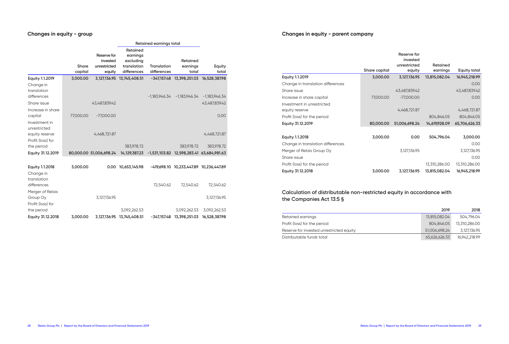## **Changes in equity - group**

|                                                                      |                  |                                                   | Retained earnings total                                         |                                   |                                             |                 |
|----------------------------------------------------------------------|------------------|---------------------------------------------------|-----------------------------------------------------------------|-----------------------------------|---------------------------------------------|-----------------|
|                                                                      | Share<br>capital | Reserve for<br>invested<br>unrestricted<br>equity | Retained<br>earnings<br>excluding<br>translation<br>differences | <b>Translation</b><br>differences | Retained<br>earnings<br>total               | Equity<br>total |
| Equity 1.1.2019                                                      | 3,000.00         |                                                   | 3,127,136.95 13,745,408.51                                      |                                   | $-347,157.48$ 13,398,251.03                 | 16,528,387.98   |
| Change in<br>translation                                             |                  |                                                   |                                                                 |                                   |                                             |                 |
| differences                                                          |                  |                                                   |                                                                 |                                   | $-1,183,946.34 -1,183,946.34 -1,183,946.34$ |                 |
| Share issue                                                          |                  | 43,487,839.42                                     |                                                                 |                                   |                                             | 43,487,839.42   |
| Increase in share<br>capital                                         | 77,000.00        | $-77,000.00$                                      |                                                                 |                                   |                                             | 0.00            |
| Investment in<br>unrestricted<br>equity reserve<br>Profit (loss) for |                  | 4,468,721.87                                      |                                                                 |                                   |                                             | 4,468,721.87    |
| the period                                                           |                  |                                                   | 383,978.72                                                      |                                   | 383,978.72                                  | 383,978.72      |
| Equity 31.12.2019                                                    |                  | 80,000.00 51,006,698.24                           | 14,129,387.23                                                   |                                   | -1,531,103.82 12,598,283.41 63,684,981.63   |                 |
|                                                                      |                  |                                                   |                                                                 |                                   |                                             |                 |
| <b>Equity 1.1.2018</b><br>Change in<br>translation                   | 3,000.00         |                                                   | 0.00 10,653,145.98                                              |                                   | -419,698.10 10,233,447.89 10,236,447.89     |                 |
| differences<br>Merger of Relais                                      |                  |                                                   |                                                                 | 72,540.62                         | 72,540.62                                   | 72,540.62       |
| Group Oy<br>Profit (loss) for                                        |                  | 3,127,136.95                                      |                                                                 |                                   |                                             | 3,127,136.95    |
| the period                                                           |                  |                                                   | 3,092,262.53                                                    |                                   | 3,092,262.53                                | 3,092,262.53    |
| Equity 31.12.2018                                                    | 3,000.00         |                                                   | 3,127,136.95 13,745,408.51                                      |                                   | -347,157.48 13,398,251.03                   | 16,528,387.98   |

## **Changes in equity - parent company**

|                                   |               | Reserve for<br>invested |                      |               |
|-----------------------------------|---------------|-------------------------|----------------------|---------------|
|                                   | Share capital | unrestricted<br>equity  | Retained<br>earnings | Equity total  |
| Equity 1.1.2019                   | 3,000.00      | 3,127,136.95            | 13,815,082.04        | 16,945,218.99 |
| Change in translation differences |               |                         |                      | 0.00          |
| Share issue                       |               | 43,487,839.42           |                      | 43,487,839.42 |
| Increase in share capital         | 77,000.00     | $-77,000.00$            |                      | 0.00          |
| Investment in unrestricted        |               |                         |                      |               |
| equity reserve                    |               | 4,468,721.87            |                      | 4,468,721.87  |
| Profit (loss) for the period      |               |                         | 804,846.05           | 804,846.05    |
| Equity 31.12.2019                 | 80,000.00     | 51,006,698.24           | 14,619,928.09        | 65,706,626.33 |
| Equity 1.1.2018                   | 3,000.00      | 0.00                    | 504,796.04           | 3,000.00      |
| Change in translation differences |               |                         |                      | 0.00          |
| Merger of Relais Group Oy         |               | 3,127,136.95            |                      | 3,127,136.95  |
| Share issue                       |               |                         |                      | 0.00          |
| Profit (loss) for the period      |               |                         | 13,310,286.00        | 13,310,286.00 |
| Equity 31.12.2018                 | 3,000.00      | 3,127,136.95            | 13,815,082.04        | 16,945,218.99 |

## **Calculation of distributable non-restricted equity in accordance with the Companies Act 13:5 §**

|                                          | 2019          | 2018          |
|------------------------------------------|---------------|---------------|
| Retained earnings                        | 13,815,082.04 | 504,796.04    |
| Profit (loss) for the period             | 804.846.05    | 13,310,286.00 |
| Reserve for invested unrestricted equity | 51.006.698.24 | 3,127,136.95  |
| Distributable funds total                | 65,626,626.33 | 16,942,218.99 |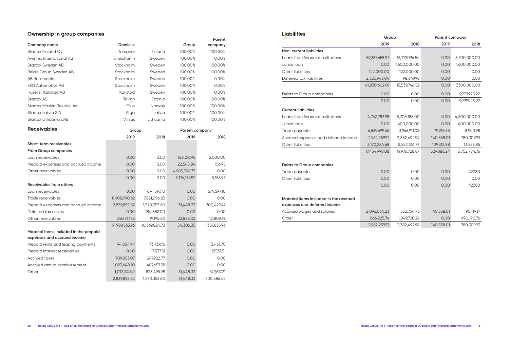## **Ownership in group companies**

| Company name                                                          | Domicile      |               | Group        | Parent<br>company |  |
|-----------------------------------------------------------------------|---------------|---------------|--------------|-------------------|--|
| Startax Finland Oy                                                    | Tampere       | Finland       | 100.00%      | 100.00%           |  |
| Awimex International AB                                               | Simrishamn    | Sweden        | 100.00%      | 0.00%             |  |
| <b>Startax Sweden AB</b>                                              | Stockholm     | Sweden        | 100.00%      | 100.00%           |  |
| Relais Group Sweden AB                                                | Stockholm     | Sweden        | 100.00%      | 100.00%           |  |
| <b>AB Reservdelar</b>                                                 | Stockholm     | Sweden        | 100.00%      | 0.00%             |  |
| <b>EKG Automotive AB</b>                                              | Stockholm     | Sweden        | 100.00%      | 0.00%             |  |
| Huzells i Karlstad AB                                                 | Karlstad      | Sweden        | 100.00%      | 0.00%             |  |
| Startax AS                                                            | Tallinn       | Estonia       | 100.00%      | 100.00%           |  |
| Startax Maskin-Teknisk As                                             | Oslo          | Norway        | 100.00%      | 100.00%           |  |
| Startax Latvia SIA                                                    | Riga          | Latvia        | 100.00%      | 100.00%           |  |
| Startax Lithuania UAB                                                 | Vilnius       | Lithuania     | 100.00%      | 100.00%           |  |
| <b>Receivables</b>                                                    | Group         |               |              | Parent company    |  |
|                                                                       | 2019          | 2018          | 2019         | 2018              |  |
| Short-term receivables                                                |               |               |              |                   |  |
| <b>From Group companies</b>                                           |               |               |              |                   |  |
| Loan receivables                                                      | 0.00          | 0.00          | 168,216.95   | 5,000.00          |  |
| Prepaid expenses and accrued income                                   | 0.00          | 0.00          | 22,545.84    | 156.95            |  |
| Other receivables                                                     | 0.00          | 0.00          | 4,985,396.73 | 0.00              |  |
|                                                                       | 0.00          | 0.00          | 5,176,159.52 | 5,156.95          |  |
| Receivables from others                                               |               |               |              |                   |  |
| Loan receivables                                                      | 0.00          | 674,597.10    | 0.00         | 674,597.10        |  |
| Trade receivables                                                     | 11,908,990.62 | 7,821,096.83  | 0.00         | 0.00              |  |
| Prepaid expenses and accrued income                                   | 2,839,855.52  | 1,570,353.60  | 31,448.33    | 700,429.47        |  |
| Deferred tax assets                                                   | 0.00          | 284,582.00    | 0.00         | 0.00              |  |
| Other receivables                                                     | 240,717.83    | 19,195.20     | 22,858.02    | 12,809.39         |  |
|                                                                       | 14,989,563.96 | 10,369,824.73 | 54,306.35    | 1,387,835.96      |  |
| Material items included in the prepaid<br>expenses and accrued income |               |               |              |                   |  |
| Prepaid rents and leasing payments                                    | 94,054.94     | 73,739.76     | 0.00         | 3,431.70          |  |
| Prepaid interest receivables                                          | 0.00          | 17,537.51     | 0.00         | 17,537.51         |  |
| <b>Accrued taxes</b>                                                  | 709,803.07    | 247,922.77    | 0.00         | 0.00              |  |
| Accrued annual reimbursement                                          | 1,023,648.10  | 407,657.58    | 0.00         | 0.00              |  |
| Other                                                                 | 1,012,349.41  | 823,495.98    | 31,448.33    | 679,617.21        |  |
|                                                                       | 2,839,855.52  | 1,570,353.60  | 31,448.33    | 700,586.42        |  |

| <b>Liabilities</b>                     | Group         |               | Parent company |              |
|----------------------------------------|---------------|---------------|----------------|--------------|
|                                        | 2019          | 2018          | 2019           | 2018         |
| Non-current liabilities                |               |               |                |              |
| Loans from financial institutions      | 59,387,658.97 | 13,719,096.54 | 0.00           | 5,700,000.00 |
| Junior Ioan                            | 0.00          | 1,600,000.00  | 0.00           | 1,600,000.00 |
| Other liabilities                      | 122,000.00    | 122,000.00    | 0.00           | 0.00         |
| Deferred tax liabilities               | 2,320,943.04  | 98,649.98     | 0.00           | 0.00         |
|                                        | 61,830,602.01 | 15,539,746.52 | 0.00           | 7,300,000.00 |
| Debts to Group companies               | 0.00          | 0.00          | 0.00           | 9,999,928.22 |
|                                        | 0.00          | 0.00          | 0.00           | 9,999,928.22 |
| <b>Current liabilities</b>             |               |               |                |              |
| Loans from financial institutions      | 4,762,783.98  | 5,705,188.00  | 0.00           | 4,500,000.00 |
| Junior loan                            | 0.00          | 400,000.00    | 0.00           | 400,000.00   |
| Trade payables                         | 6,559,699.46  | 3,966,911.08  | 79,215.35      | 8,940.98     |
| Accrued expenses and deferred income   | 2,962,259.97  | 2,382,492.99  | 140,558.01     | 780,309.93   |
| Other liabilities                      | 3,170,254.68  | 2,522,136.79  | 109,312.88     | 13,533.85    |
|                                        | 17,454,998.08 | 14,976,728.87 | 329,086.24     | 5,702,784.76 |
| Debts to Group companies               |               |               |                |              |
| Trade payables                         | 0.00          | 0.00          | 0.00           | 427.80       |
| Other liabilities                      | 0.00          | 0.00          | 0.00           | 0.00         |
|                                        | 0.00          | 0.00          | 0.00           | 427.80       |
| Material items included in the accrued |               |               |                |              |
| expenses and deferred income           |               |               |                |              |
| Accrued wages and salaries             | 2,096,034.23  | 1,332,764.73  | 140,558.01     | 90,119.17    |
| Other                                  | 866,225.74    | 1,049,728.26  | 0.00           | 690,190.76   |
|                                        | 2,962,259.97  | 2,382,492.99  | 140,558.01     | 780,309.93   |
|                                        |               |               |                |              |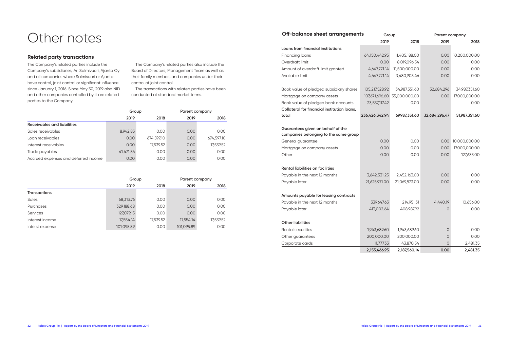## Other notes

## **Related party transactions**

The Company's related parties include the Company's subsidiaries, Ari Salmivuori, Ajanta Oy and all companies where Salmivuori or Ajanta have control, joint control or significant influence since January 1, 2016. Since May 30, 2019 also NID and other companies controlled by it are related parties to the Company.

The Company's related parties also include the Board of Directors, Management Team as well as their family members and companies under their control of joint control.

The transactions with related parties have been conducted at standard market terms.

|                                      | Group     |            | Parent company |            |
|--------------------------------------|-----------|------------|----------------|------------|
|                                      | 2019      | 2018       | 2019           | 2018       |
| Receivables and liabilities          |           |            |                |            |
| Sales receivables                    | 8,942.83  | 0.00       | 0.00           | 0.00       |
| Loan receivables                     | 0.00      | 674,597.10 | 0.00           | 674,597.10 |
| Interest receivables                 | 0.00      | 17,539.52  | 0.00           | 17,539.52  |
| Trade payables                       | 41,471.56 | 0.00       | 0.00           | 0.00       |
| Accrued expenses and deferred income | 0.00      | 0.00       | 0.00           | 0.00       |

|                     | Group      |           | Parent company |           |
|---------------------|------------|-----------|----------------|-----------|
|                     | 2019       | 2018      | 2019           | 2018      |
| <b>Transactions</b> |            |           |                |           |
| Sales               | 68,313.76  | 0.00      | 0.00           | 0.00      |
| Purchases           | 329,188.68 | 0.00      | 0.00           | 0.00      |
| Services            | 127,079.15 | 0.00      | 0.00           | 0.00      |
| Interest income     | 17,554.14  | 17,539.52 | 17,554.14      | 17,539.52 |
| Interst expense     | 101,095.89 | 0.00      | 101,095.89     | 0.00      |

| Off-balance sheet arrangements                                             | Group          |               | Parent company |               |
|----------------------------------------------------------------------------|----------------|---------------|----------------|---------------|
|                                                                            | 2019           | 2018          | 2019           | 2018          |
| Loans from financial institutions                                          |                |               |                |               |
| Financing loans                                                            | 64,150,442.95  | 11,405,188.00 | 0.00           | 10,200,000.00 |
| Overdraft limit                                                            | 0.00           | 8,019,096.54  | 0.00           | 0.00          |
| Amount of overdraft limit granted                                          | 4,647,771.14   | 11,500,000.00 | 0.00           | 0.00          |
| Available limit                                                            | 4,647,771.14   | 3,480,903.46  | 0.00           | 0.00          |
| Book value of pledged subsidiary shares                                    | 105,217,528.92 | 34,987,351.60 | 32,684,296     | 34,987,351.60 |
| Mortgage on company assets                                                 | 107,671,696.60 | 35,000,000.00 | 0.00           | 17,000,000.00 |
| Book value of pledged bank accounts                                        | 23,537,117.42  | 0.00          |                | 0.00          |
| Collateral for financial institution loans,                                |                |               |                |               |
| total                                                                      | 236,426,342.94 | 69,987,351.60 | 32,684,296.47  | 51,987,351.60 |
| Guarantees given on behalf of the<br>companies belonging to the same group |                |               |                |               |
| General guarantee                                                          | 0.00           | 0.00          | 0.00           | 10,000,000.00 |
| Mortgage on company assets                                                 | 0.00           | 0.00          | 0.00           | 17,000,000.00 |
| Other                                                                      | 0.00           | 0.00          | 0.00           | 127,633.00    |
| Rental liabilities on facilities                                           |                |               |                |               |
| Payable in the next 12 months                                              | 3,642,531.25   | 2,452,163.00  | 0.00           | 0.00          |
| Payable later                                                              | 21,625,971.00  | 21,069,873.00 | 0.00           | 0.00          |
| Amounts payable for leasing contracts                                      |                |               |                |               |
| Payable in the next 12 months                                              | 339,647.63     | 214,951.31    | 4,440.19       | 10,656.00     |
| Payable later                                                              | 413,002.64     | 408,987.92    | 0              | 0.00          |
| <b>Other liabilities</b>                                                   |                |               |                |               |
| <b>Rental securities</b>                                                   | 1,943,689.60   | 1,943,689.60  | 0              | 0.00          |
| Other guarantees                                                           | 200,000.00     | 200,000.00    | 0              | 0.00          |
| Corporate cards                                                            | 11,777.33      | 43,870.54     | 0              | 2,481.35      |
|                                                                            | 2,155,466.93   | 2,187,560.14  | 0.00           | 2,481.35      |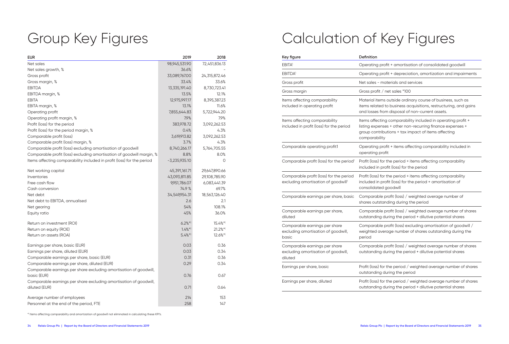# Group Key Figures

| <b>EUR</b>                                                             | 2019                  | 2018                   |
|------------------------------------------------------------------------|-----------------------|------------------------|
| Net sales                                                              | 98,945,531.90         | 72,451,836.13          |
| Net sales growth, %                                                    | 36.6%                 |                        |
| Gross profit                                                           | 33,089,767.00         | 24,315,872.46          |
| Gross margin, %                                                        | 33.4%                 | 33.6%                  |
| <b>EBITDA</b>                                                          | 13,335,191.40         | 8,730,723.41           |
| EBITDA margin, %                                                       | 13.5%                 | 12.1%                  |
| <b>EBITA</b>                                                           | 12,975,997.17         | 8,395,387.23           |
| EBITA margin, %                                                        | 13.1%                 | 11.6%                  |
| Operating profit                                                       | 7,855,644.83          | 5,722,944.20           |
| Operating profit margin, %                                             | 7.9%                  | 7.9%                   |
| Profit (loss) for the period                                           | 383,978.72            | 3,092,262.53           |
| Profit (loss) for the period margin, %                                 | 0.4%                  | 4.3%                   |
| Comparable profit (loss)                                               | 3,619,913.82          | 3,092,262.53           |
| Comparable profit (loss) margin, %                                     | 3.7%                  | 4.3%                   |
| Comparable profit (loss) excluding amortisation of goodwill            | 8,740,266.17          | 5,764,705.55           |
| Comparable profit (loss) excluding amortisation of goodwill margin, %  | 8.8%                  | 8.0%                   |
| Items affecting comparability included in profit (loss) for the period | $-3,235,935.10$       | $\circ$                |
| Net working capital                                                    | 45,391,161.71         | 29,647,890.66          |
| Inventories                                                            | 43,093,811.85         | 29,108,785.90          |
| Free cash flow                                                         | 9,951,786.07          | 6,083,441.39           |
| Cash conversion                                                        | 74.9 %                | 69.7%                  |
| Net debt                                                               | 34,549,954.31         | 18,563,126.40          |
| Net debt to EBITDA, annualised                                         | 2.6                   | 2.1                    |
| Net gearing                                                            | 54%                   | 108.1%                 |
| Equity ratio                                                           | 45%                   | 36.0%                  |
| Return on investment (ROI)                                             | $6.2\%$ *)            | $15.4\%$ <sup>*)</sup> |
| Return on equity (ROE)                                                 | $1.4\%$ <sup>*)</sup> | $21.2\%$ *)            |
| Return on assets (ROA)                                                 | $5.4\%$ *)            | $12.6\%$ <sup>*)</sup> |
| Earnings per share, basic (EUR)                                        | 0.03                  | 0.36                   |
| Earnings per share, diluted (EUR)                                      | 0.03                  | 0.34                   |
| Comparable earnings per share, basic (EUR)                             | 0.31                  | 0.36                   |
| Comparable earnings per share, diluted (EUR)                           | 0.29                  | 0.34                   |
| Comparable earnings per share excluding amortisation of goodwill,      |                       |                        |
| basic (EUR)                                                            | 0.76                  | 0.67                   |
| Comparable earnings per share excluding amortisation of goodwill,      |                       |                        |
| diluted (EUR)                                                          | 0.71                  | 0.64                   |
| Average number of employees                                            | 214                   | 153                    |
| Personnel at the end of the period, FTE                                | 258                   | 147                    |

# Calculation of Key Figures

| Key figure                                                                                 | Definition                                                                                                                                                                                        |
|--------------------------------------------------------------------------------------------|---------------------------------------------------------------------------------------------------------------------------------------------------------------------------------------------------|
| <b>EBITA</b>                                                                               | Operating profit + amortisation of consolidated goodwill                                                                                                                                          |
| <b>EBITDA</b>                                                                              | Operating profit + depreciation, amortization and impairments                                                                                                                                     |
| Gross profit                                                                               | Net sales - materials and services                                                                                                                                                                |
| Gross margin                                                                               | Gross profit / net sales *100                                                                                                                                                                     |
| Items affecting comparability<br>included in operating profit                              | Material items outside ordinary course of business, such as<br>items related to business acquisitions, restructuring, and gains<br>and losses from disposal of non-current assets.                |
| Items affecting comparability<br>included in profit (loss) for the period                  | Items affecting comparability included in operating profit +<br>listing expenses + other non-recurring finance expenses +<br>group contributions + tax impact of items affecting<br>comparability |
| Comparable operating profit1                                                               | Operating profit + items affecting comparability included in<br>operating profit                                                                                                                  |
| Comparable profit (loss) for the period <sup>1</sup>                                       | Profit (loss) for the period + items affecting comparability<br>included in profit (loss) for the period                                                                                          |
| Comparable profit (loss) for the period<br>excluding amortisation of goodwill <sup>1</sup> | Profit (loss) for the period + items affecting comparability<br>included in profit (loss) for the period + amortisation of<br>consolidated goodwill                                               |
| Comparable earnings per share, basic                                                       | Comparable profit (loss) / weighted average number of<br>shares outstanding during the period                                                                                                     |
| Comparable earnings per share,<br>diluted                                                  | Comparable profit (loss) / weighted average number of shares<br>outstanding during the period + dilutive potential shares                                                                         |
| Comparable earnings per share<br>excluding amortisation of goodwill,<br>basic              | Comparable profit (loss) excluding amortisation of goodwill /<br>weighted average number of shares outstanding during the<br>period                                                               |
| Comparable earnings per share<br>excluding amortisation of goodwill,<br>diluted            | Comparable profit (loss) / weighted average number of shares<br>outstanding during the period + dilutive potential shares                                                                         |
| Earnings per share, basic                                                                  | Profit (loss) for the period / weighted average number of shares<br>outstanding during the period                                                                                                 |
| Earnings per share, diluted                                                                | Profit (loss) for the period / weighted average number of shares<br>outstanding during the period + dilutive potential shares                                                                     |

\*) Items affecting comparability and amortization of goodwill not eliminated in calculating these KPI's.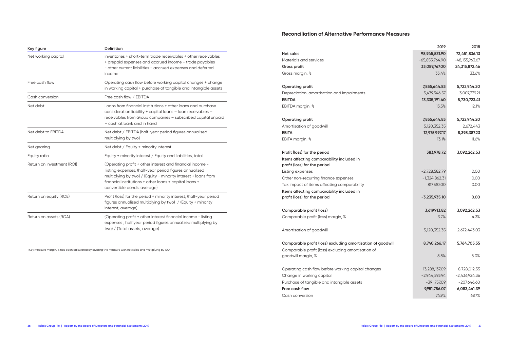## **Reconciliation of Alternative Performance Measures**

| Key figure                 | Definition                                                                                                                                                                                                                                                                     |
|----------------------------|--------------------------------------------------------------------------------------------------------------------------------------------------------------------------------------------------------------------------------------------------------------------------------|
| Net working capital        | Inventories + short-term trade receivables + other receivables<br>+ prepaid expenses and accrued income - trade payables<br>- other current liabilities - accrued expenses and deferred<br>income                                                                              |
| Free cash flow             | Operating cash flow before working capital changes + change<br>in working capital + purchase of tangible and intangible assets                                                                                                                                                 |
| Cash conversion            | Free cash flow / EBITDA                                                                                                                                                                                                                                                        |
| Net debt                   | Loans from financial institutions + other loans and purchase<br>consideration liability + capital loans - loan receivables -<br>receivables from Group companies - subscribed capital unpaid<br>- cash at bank and in hand                                                     |
| Net debt to EBITDA         | Net debt / EBITDA (half-year period figures annualised<br>multiplying by two)                                                                                                                                                                                                  |
| Net gearing                | Net debt / Equity + minority interest                                                                                                                                                                                                                                          |
| Equity ratio               | Equity + minority interest / Equity and liabilities, total                                                                                                                                                                                                                     |
| Return on investment (ROI) | (Operating profit + other interest and financial income -<br>listing expenses, (half-year period figures annualized<br>multiplying by two) / (Equity + minority interest + loans from<br>financial institutions + other loans + capital loans +<br>convertible bonds, average) |
| Return on equity (ROE)     | Profit (loss) for the period + minority interest, (half-year period<br>figures annualised multiplying by two) / (Equity + minority<br>interest, average)                                                                                                                       |
| Return on assets (ROA)     | (Operating profit + other interest financial income - listing<br>expenses, half year period figures annualized multiplying by<br>two) / (Total assets, average)                                                                                                                |

1 Key measure margin, % has been calculated by dividing the measure with net sales and multiplying by 100.

|                                                             | 2019             | 2018             |
|-------------------------------------------------------------|------------------|------------------|
| <b>Net sales</b>                                            | 98,945,531.90    | 72,451,836.13    |
| Materials and services                                      | $-65,855,764.90$ | $-48,135,963.67$ |
| Gross profit                                                | 33,089,767.00    | 24,315,872.46    |
| Gross margin, %                                             | 33.4%            | 33.6%            |
|                                                             |                  |                  |
| Operating profit                                            | 7,855,644.83     | 5,722,944.20     |
| Depreciation, amortisation and impairments                  | 5,479,546.57     | 3,007,779.21     |
| <b>EBITDA</b>                                               | 13,335,191.40    | 8,730,723.41     |
| EBITDA margin, %                                            | 13.5%            | 12.1%            |
| Operating profit                                            | 7,855,644.83     | 5,722,944.20     |
| Amortisation of goodwill                                    | 5,120,352.35     | 2,672,443        |
| <b>EBITA</b>                                                | 12,975,997.17    | 8,395,387.23     |
| EBITA margin, %                                             | 13.1%            | 11.6%            |
|                                                             |                  |                  |
| Profit (loss) for the period                                | 383,978.72       | 3,092,262.53     |
| Items affecting comparability included in                   |                  |                  |
| profit (loss) for the period                                |                  |                  |
| Listing expenses                                            | $-2,728,582.79$  | 0.00             |
| Other non-recurring finance expenses                        | $-1,324,862.31$  | 0.00             |
| Tax impact of items affecting comparability                 | 817,510.00       | 0.00             |
| Items affecting comparability included in                   |                  |                  |
| profit (loss) for the period                                | $-3,235,935.10$  | 0.00             |
| Comparable profit (loss)                                    | 3,619,913.82     | 3,092,262.53     |
| Comparable profit (loss) margin, %                          | 3.7%             | 4.3%             |
| Amortisation of goodwill                                    | 5,120,352.35     | 2,672,443.03     |
| Comparable profit (loss) excluding amortisation of goodwill | 8,740,266.17     | 5,764,705.55     |
| Comparable profit (loss) excluding amortisation of          |                  |                  |
| goodwill margin, %                                          | 8.8%             | 8.0%             |
| Operating cash flow before working capital changes          | 13,288,137.09    | 8,728,012.35     |
| Change in working capital                                   | $-2,944,593.94$  | $-2,436,924.36$  |
| Purchase of tangible and intangible assets                  | $-391,757.09$    | $-207,646.60$    |
| Free cash flow                                              | 9,951,786.07     | 6,083,441.39     |
| Cash conversion                                             | 74.9%            | 69.7%            |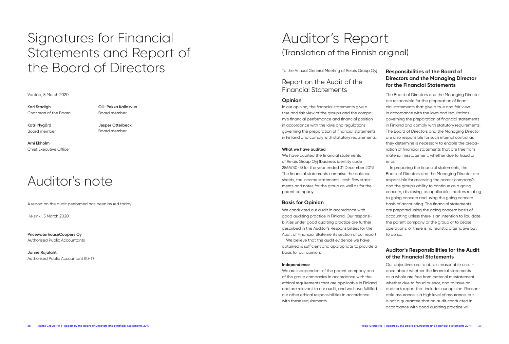# Signatures for Financial Statements and Report of the Board of Directors

#### Vantaa, 5 March 2020

**Kari Stadigh** Chariman of the Board

Board member

**Katri Nygård** Board member **Jesper Otterbeck** Board member

**Olli-Pekka Kallasvuo**

**Arni Ekholm** Chief Executive Officer

## Auditor's note

A report on the audit performed has been issued today.

Helsinki, 5 March 2020

**PricewaterhouseCoopers Oy** Authorised Public Accountants

**Janne Rajalahti** Authorised Public Accountant (KHT)

## Auditor's Report (Translation of the Finnish original)

To the Annual General Meeting of Relais Group Oyj

Report on the Audit of the Financial Statements

#### **Opinion**

In our opinion, the financial statements give a true and fair view of the group's and the company's financial performance and financial position in accordance with the laws and regulations governing the preparation of financial statements in Finland and comply with statutory requirements.

#### **What we have audited**

We have audited the financial statements of Relais Group Oyj (business identity code 2566730-3) for the year ended 31 December 2019. The financial statements comprise the balance sheets, the income statements, cash flow statements and notes for the group as well as for the parent company.

#### **Basis for Opinion**

We conducted our audit in accordance with good auditing practice in Finland. Our responsibilities under good auditing practice are further described in the Auditor's Responsibilities for the Audit of Financial Statements section of our report. We believe that the audit evidence we have

obtained is sufficient and appropriate to provide a basis for our opinion.

#### **Independence**

We are independent of the parent company and of the group companies in accordance with the ethical requirements that are applicable in Finland and are relevant to our audit, and we have fulfilled our other ethical responsibilities in accordance with these requirements.

## **Responsibilities of the Board of Directors and the Managing Director for the Financial Statements**

The Board of Directors and the Managing Director are responsible for the preparation of financial statements that give a true and fair view in accordance with the laws and regulations governing the preparation of financial statements in Finland and comply with statutory requirements. The Board of Directors and the Managing Director are also responsible for such internal control as they determine is necessary to enable the preparation of financial statements that are free from material misstatement, whether due to fraud or error.

In preparing the financial statements, the Board of Directors and the Managing Director are responsible for assessing the parent company's and the group's ability to continue as a going concern, disclosing, as applicable, matters relating to going concern and using the going concern basis of accounting. The financial statements are prepared using the going concern basis of accounting unless there is an intention to liquidate the parent company or the group or to cease operations, or there is no realistic alternative but to do so.

## **Auditor's Responsibilities for the Audit of the Financial Statements**

Our objectives are to obtain reasonable assurance about whether the financial statements as a whole are free from material misstatement, whether due to fraud or error, and to issue an auditor's report that includes our opinion. Reasonable assurance is a high level of assurance, but is not a guarantee that an audit conducted in accordance with good auditing practice will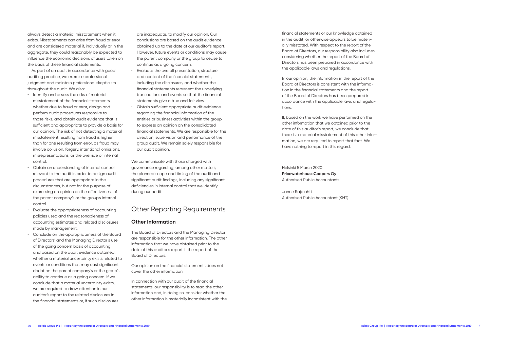always detect a material misstatement when it exists. Misstatements can arise from fraud or error and are considered material if, individually or in the aggregate, they could reasonably be expected to influence the economic decisions of users taken on the basis of these financial statements.

As part of an audit in accordance with good auditing practice, we exercise professional judgment and maintain professional skepticism throughout the audit. We also:

- Identify and assess the risks of material misstatement of the financial statements, whether due to fraud or error, design and perform audit procedures responsive to those risks, and obtain audit evidence that is sufficient and appropriate to provide a basis for our opinion. The risk of not detecting a material misstatement resulting from fraud is higher than for one resulting from error, as fraud may involve collusion, forgery, intentional omissions, misrepresentations, or the override of internal control.
- Obtain an understanding of internal control relevant to the audit in order to design audit procedures that are appropriate in the circumstances, but not for the purpose of expressing an opinion on the effectiveness of the parent company's or the group's internal control.
- Evaluate the appropriateness of accounting policies used and the reasonableness of accounting estimates and related disclosures made by management.
- Conclude on the appropriateness of the Board of Directors' and the Managing Director's use of the going concern basis of accounting and based on the audit evidence obtained, whether a material uncertainty exists related to events or conditions that may cast significant doubt on the parent company's or the group's ability to continue as a going concern. If we conclude that a material uncertainty exists, we are required to draw attention in our auditor's report to the related disclosures in the financial statements or, if such disclosures

are inadequate, to modify our opinion. Our conclusions are based on the audit evidence obtained up to the date of our auditor's report. However, future events or conditions may cause the parent company or the group to cease to continue as a going concern.

- Evaluate the overall presentation, structure and content of the financial statements, including the disclosures, and whether the financial statements represent the underlying transactions and events so that the financial statements give a true and fair view.
- Obtain sufficient appropriate audit evidence regarding the financial information of the entities or business activities within the group to express an opinion on the consolidated financial statements. We are responsible for the direction, supervision and performance of the group audit. We remain solely responsible for our audit opinion.

We communicate with those charged with governance regarding, among other matters, the planned scope and timing of the audit and significant audit findings, including any significant deficiencies in internal control that we identify during our audit.

## Other Reporting Requirements

#### **Other Information**

The Board of Directors and the Managing Director are responsible for the other information. The other information that we have obtained prior to the date of this auditor's report is the report of the Board of Directors.

Our opinion on the financial statements does not cover the other information.

In connection with our audit of the financial statements, our responsibility is to read the other information and, in doing so, consider whether the other information is materially inconsistent with the financial statements or our knowledge obtained in the audit, or otherwise appears to be materially misstated. With respect to the report of the Board of Directors, our responsibility also includes considering whether the report of the Board of Directors has been prepared in accordance with the applicable laws and regulations.

In our opinion, the information in the report of the Board of Directors is consistent with the information in the financial statements and the report of the Board of Directors has been prepared in accordance with the applicable laws and regulations.

If, based on the work we have performed on the other information that we obtained prior to the date of this auditor's report, we conclude that there is a material misstatement of this other information, we are required to report that fact. We have nothing to report in this regard.

Helsinki 5 March 2020 **PricewaterhouseCoopers Oy** Authorised Public Accountants

Janne Rajalahti Authorised Public Accountant (KHT)